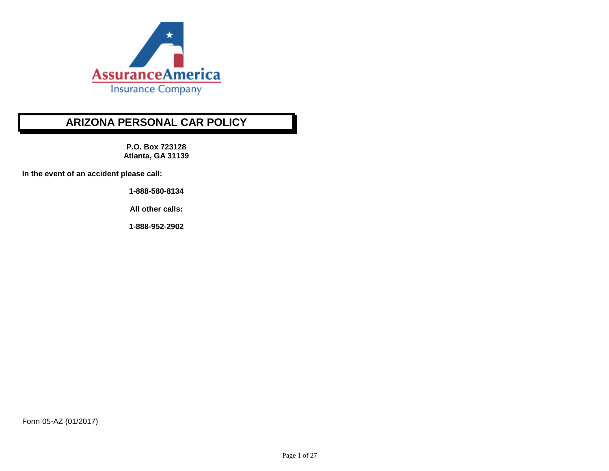

**P.O. Box 723128 Atlanta, GA 31139**

**In the event of an accident please call:**

**1-888-580-8134** 

**All other calls:**

**1-888-952-2902**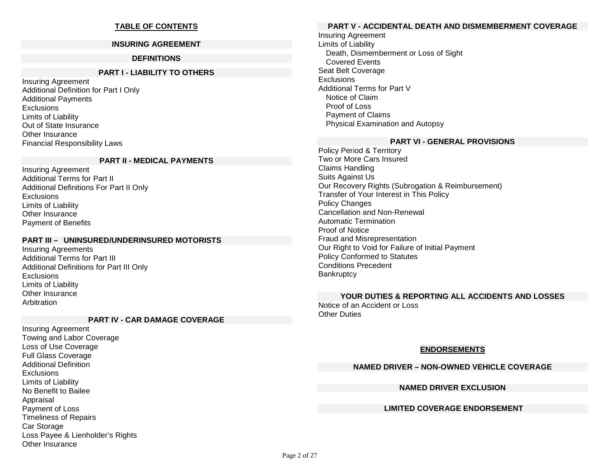# **TABLE OF CONTENTS**

#### **INSURING AGREEMENT**

#### **DEFINITIONS**

# **PART I - LIABILITY TO OTHERS**

Insuring Agreement Additional Definition for Part I Only Additional Payments **Exclusions** Limits of Liability Out of State Insurance Other Insurance Financial Responsibility Laws

#### **PART II - MEDICAL PAYMENTS**

Insuring Agreement Additional Terms for Part II Additional Definitions For Part II Only **Exclusions** Limits of Liability Other Insurance Payment of Benefits

#### **PART III – UNINSURED/UNDERINSURED MOTORISTS**

Insuring Agreements Additional Terms for Part III Additional Definitions for Part III Only **Exclusions** Limits of Liability Other Insurance **Arbitration** 

#### **PART IV - CAR DAMAGE COVERAGE**

Insuring Agreement Towing and Labor Coverage Loss of Use Coverage Full Glass Coverage Additional Definition **Exclusions** Limits of Liability No Benefit to Bailee Appraisal Payment of Loss Timeliness of Repairs Car Storage Loss Payee & Lienholder's Rights Other Insurance

### **PART V - ACCIDENTAL DEATH AND DISMEMBERMENT COVERAGE**

Insuring Agreement Limits of Liability Death, Dismemberment or Loss of Sight Covered Events Seat Belt Coverage **Exclusions** Additional Terms for Part V Notice of Claim Proof of Loss Payment of Claims Physical Examination and Autopsy

#### **PART VI - GENERAL PROVISIONS**

Policy Period & Territory Two or More Cars Insured Claims Handling Suits Against Us Our Recovery Rights (Subrogation & Reimbursement) Transfer of Your Interest in This Policy Policy Changes Cancellation and Non-Renewal Automatic Termination Proof of Notice Fraud and Misrepresentation Our Right to Void for Failure of Initial Payment Policy Conformed to Statutes Conditions Precedent **Bankruptcy** 

# **YOUR DUTIES & REPORTING ALL ACCIDENTS AND LOSSES**

Notice of an Accident or Loss **Other Duties** 

#### **ENDORSEMENTS**

#### **NAMED DRIVER – NON-OWNED VEHICLE COVERAGE**

#### **NAMED DRIVER EXCLUSION**

#### **LIMITED COVERAGE ENDORSEMENT**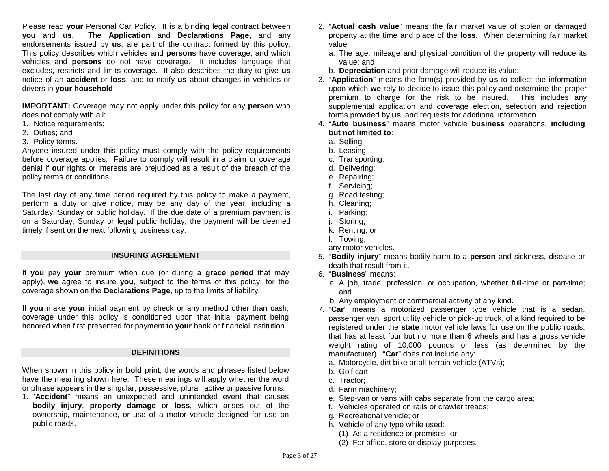Please read **your** Personal Car Policy. It is a binding legal contract between **you** and **us**. The **Application** and **Declarations Page**, and any endorsements issued by **us**, are part of the contract formed by this policy. This policy describes which vehicles and **persons** have coverage, and which vehicles and **persons** do not have coverage. It includes language that excludes, restricts and limits coverage. It also describes the duty to give **us** notice of an **accident** or **loss**, and to notify **us** about changes in vehicles or drivers in **your household**.

**IMPORTANT:** Coverage may not apply under this policy for any **person** who does not comply with all:

- 1. Notice requirements;
- 2. Duties; and
- 3. Policy terms.

Anyone insured under this policy must comply with the policy requirements before coverage applies. Failure to comply will result in a claim or coverage denial if **our** rights or interests are prejudiced as a result of the breach of the policy terms or conditions.

The last day of any time period required by this policy to make a payment, perform a duty or give notice, may be any day of the year, including a Saturday, Sunday or public holiday. If the due date of a premium payment is on a Saturday, Sunday or legal public holiday, the payment will be deemed timely if sent on the next following business day.

#### **INSURING AGREEMENT**

If **you** pay **your** premium when due (or during a **grace period** that may apply), **we** agree to insure **you**, subject to the terms of this policy, for the coverage shown on the **Declarations Page**, up to the limits of liability.

If **you** make **your** initial payment by check or any method other than cash, coverage under this policy is conditioned upon that initial payment being honored when first presented for payment to **your** bank or financial institution.

#### **DEFINITIONS**

When shown in this policy in **bold** print, the words and phrases listed below have the meaning shown here. These meanings will apply whether the word or phrase appears in the singular, possessive, plural, active or passive forms:

1. "**Accident**" means an unexpected and unintended event that causes **bodily injury**, **property damage** or **loss**, which arises out of the ownership, maintenance, or use of a motor vehicle designed for use on public roads.

- 2. "**Actual cash value**" means the fair market value of stolen or damaged property at the time and place of the **loss**.When determining fair market value:
	- a. The age, mileage and physical condition of the property will reduce its value; and
	- b. **Depreciation** and prior damage will reduce its value.
- 3. "**Application**" means the form(s) provided by **us** to collect the information upon which **we** rely to decide to issue this policy and determine the proper premium to charge for the risk to be insured. This includes any supplemental application and coverage election, selection and rejection forms provided by **us**, and requests for additional information.
- 4. "**Auto business**" means motor vehicle **business** operations, **including but not limited to**:
	- a. Selling;
	- b. Leasing;
	- c. Transporting;
	- d. Delivering;
	- e. Repairing;
	- f. Servicing;
	- g. Road testing;
	- h. Cleaning;
	- i. Parking;
	- j. Storing;
	- k. Renting; or
	- l. Towing;
	- any motor vehicles.
- 5. "**Bodily injury**" means bodily harm to a **person** and sickness, disease or death that result from it.
- 6. "**Business**" means:
	- a. A job, trade, profession, or occupation, whether full-time or part-time; and
	- b. Any employment or commercial activity of any kind.
- 7. "**Car**" means a motorized passenger type vehicle that is a sedan, passenger van, sport utility vehicle or pick-up truck, of a kind required to be registered under the **state** motor vehicle laws for use on the public roads, that has at least four but no more than 6 wheels and has a gross vehicle weight rating of 10,000 pounds or less (as determined by the manufacturer). "**Car**" does not include any:
	- a. Motorcycle, dirt bike or all-terrain vehicle (ATVs);
	- b. Golf cart;
	- c. Tractor;
	- d. Farm machinery;
	- e. Step-van or vans with cabs separate from the cargo area;
	- f. Vehicles operated on rails or crawler treads;
	- g. Recreational vehicle; or
	- h. Vehicle of any type while used:
		- (1) As a residence or premises; or
		- (2) For office, store or display purposes.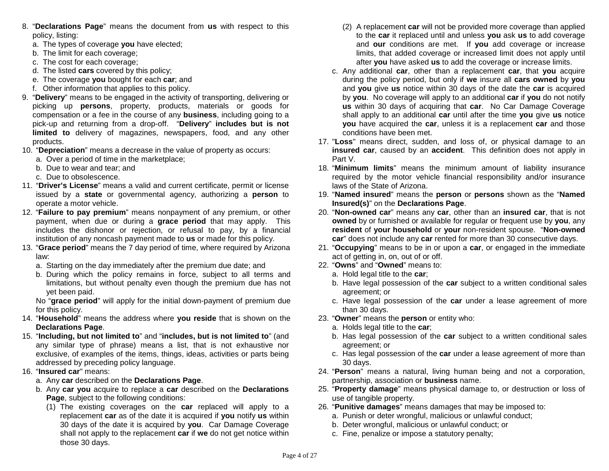- 8. "**Declarations Page**" means the document from **us** with respect to this policy, listing:
	- a. The types of coverage **you** have elected;
	- b. The limit for each coverage;
	- c. The cost for each coverage;
	- d. The listed **cars** covered by this policy;
	- e. The coverage **you** bought for each **car**; and
	- f. Other information that applies to this policy.
- 9. "**Delivery**" means to be engaged in the activity of transporting, delivering or picking up **persons**, property, products, materials or goods for compensation or a fee in the course of any **business**, including going to a pick-up and returning from a drop-off. "**Delivery**" **includes but is not limited to** delivery of magazines, newspapers, food, and any other products.
- 10. "**Depreciation**" means a decrease in the value of property as occurs:
	- a. Over a period of time in the marketplace;
	- b. Due to wear and tear; and
	- c. Due to obsolescence.
- 11. "**Driver's License**" means a valid and current certificate, permit or license issued by a **state** or governmental agency, authorizing a **person** to operate a motor vehicle.
- 12. "**Failure to pay premium**" means nonpayment of any premium, or other payment, when due or during a **grace period** that may apply. This includes the dishonor or rejection, or refusal to pay, by a financial institution of any noncash payment made to **us** or made for this policy.
- 13. "**Grace period**" means the 7 day period of time, where required by Arizona law:
	- a. Starting on the day immediately after the premium due date; and
	- b. During which the policy remains in force, subject to all terms and limitations, but without penalty even though the premium due has not yet been paid.
	- No "**grace period**" will apply for the initial down-payment of premium due for this policy.
- 14. "**Household**" means the address where **you reside** that is shown on the **Declarations Page**.
- 15. "**Including, but not limited to**" and "**includes, but is not limited to**" (and any similar type of phrase) means a list, that is not exhaustive nor exclusive, of examples of the items, things, ideas, activities or parts being addressed by preceding policy language.
- 16. "**Insured car**" means:
	- a. Any **car** described on the **Declarations Page**.
	- b. Any **car you** acquire to replace a **car** described on the **Declarations Page**, subject to the following conditions:
		- (1) The existing coverages on the **car** replaced will apply to a replacement **car** as of the date it is acquired if **you** notify **us** within 30 days of the date it is acquired by **you**. Car Damage Coverage shall not apply to the replacement **car** if **we** do not get notice within those 30 days.
- (2) A replacement **car** will not be provided more coverage than applied to the **car** it replaced until and unless **you** ask **us** to add coverage and **our** conditions are met. If **you** add coverage or increase limits, that added coverage or increased limit does not apply until after **you** have asked **us** to add the coverage or increase limits.
- c. Any additional **car**, other than a replacement **car**, that **you** acquire during the policy period, but only if **we** insure all **cars owned** by **you** and **you** give **us** notice within 30 days of the date the **car** is acquired by **you**. No coverage will apply to an additional **car** if **you** do not notify **us** within 30 days of acquiring that **car**. No Car Damage Coverage shall apply to an additional **car** until after the time **you** give **us** notice **you** have acquired the **car**, unless it is a replacement **car** and those conditions have been met.
- 17. "**Loss**" means direct, sudden, and loss of, or physical damage to an **insured car**, caused by an **accident**. This definition does not apply in Part V.
- 18. "**Minimum limits**" means the minimum amount of liability insurance required by the motor vehicle financial responsibility and/or insurance laws of the State of Arizona.
- 19. "**Named insured**" means the **person** or **persons** shown as the "**Named Insured(s)**" on the **Declarations Page**.
- 20. "**Non-owned car**" means any **car**, other than an **insured car**, that is not **owned** by or furnished or available for regular or frequent use by **you**, any **resident** of **your household** or **your** non-resident spouse. "**Non-owned car**" does not include any **car** rented for more than 30 consecutive days.
- 21. "**Occupying**" means to be in or upon a **car**, or engaged in the immediate act of getting in, on, out of or off.
- 22. "**Owns**" and "**Owned**" means to:
	- a. Hold legal title to the **car**;
	- b. Have legal possession of the **car** subject to a written conditional sales agreement; or
	- c. Have legal possession of the **car** under a lease agreement of more than 30 days.
- 23. "**Owner**" means the **person** or entity who:
	- a. Holds legal title to the **car**;
	- b. Has legal possession of the **car** subject to a written conditional sales agreement; or
	- c. Has legal possession of the **car** under a lease agreement of more than 30 days.
- 24. "**Person**" means a natural, living human being and not a corporation, partnership, association or **business** name.
- 25. "**Property damage**" means physical damage to, or destruction or loss of use of tangible property.
- 26. "**Punitive damages**" means damages that may be imposed to:
	- a. Punish or deter wrongful, malicious or unlawful conduct;
	- b. Deter wrongful, malicious or unlawful conduct; or
	- c. Fine, penalize or impose a statutory penalty;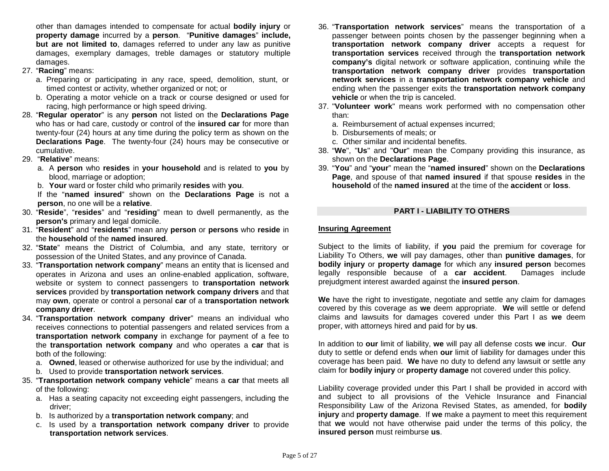other than damages intended to compensate for actual **bodily injury** or **property damage** incurred by a **person**. "**Punitive damages**" **include, but are not limited to**, damages referred to under any law as punitive damages, exemplary damages, treble damages or statutory multiple damages.

- 27. "**Racing**" means:
	- a. Preparing or participating in any race, speed, demolition, stunt, or timed contest or activity, whether organized or not; or
	- b. Operating a motor vehicle on a track or course designed or used for racing, high performance or high speed driving.
- 28. "**Regular operator**" is any **person** not listed on the **Declarations Page** who has or had care, custody or control of the **insured car** for more than twenty-four (24) hours at any time during the policy term as shown on the **Declarations Page**. The twenty-four (24) hours may be consecutive or cumulative.
- 29. "**Relative**" means:
	- a. A **person** who **resides** in **your household** and is related to **you** by blood, marriage or adoption;
	- b. **Your** ward or foster child who primarily **resides** with **you**.

If the "**named insured**" shown on the **Declarations Page** is not a **person**, no one will be a **relative**.

- 30. "**Reside**", "**resides**" and "**residing**" mean to dwell permanently, as the **person's** primary and legal domicile.
- 31. "**Resident**" and "**residents**" mean any **person** or **persons** who **reside** in the **household** of the **named insured**.
- 32. "**State**" means the District of Columbia, and any state, territory or possession of the United States, and any province of Canada.
- 33. "**Transportation network company**" means an entity that is licensed and operates in Arizona and uses an online-enabled application, software, website or system to connect passengers to **transportation network services** provided by **transportation network company drivers** and that may **own**, operate or control a personal **car** of a **transportation network company driver**.
- 34. "**Transportation network company driver**" means an individual who receives connections to potential passengers and related services from a **transportation network company** in exchange for payment of a fee to the **transportation network company** and who operates a **car** that is both of the following:
	- a. **Owned**, leased or otherwise authorized for use by the individual; and
	- b. Used to provide **transportation network services**.
- 35. "**Transportation network company vehicle**" means a **car** that meets all of the following:
	- a. Has a seating capacity not exceeding eight passengers, including the driver;
	- b. Is authorized by a **transportation network company**; and
	- c. Is used by a **transportation network company driver** to provide **transportation network services**.
- 36. "**Transportation network services**" means the transportation of a passenger between points chosen by the passenger beginning when a **transportation network company driver** accepts a request for **transportation services** received through the **transportation network company's** digital network or software application, continuing while the **transportation network company driver** provides **transportation network services** in a **transportation network company vehicle** and ending when the passenger exits the **transportation network company vehicle** or when the trip is canceled.
- 37. "**Volunteer work**" means work performed with no compensation other than:
	- a. Reimbursement of actual expenses incurred;
	- b. Disbursements of meals; or
	- c. Other similar and incidental benefits.
- 38. "**We**", "**Us**" and "**Our**" mean the Company providing this insurance, as shown on the **Declarations Page**.
- 39. "**You**" and "**your**" mean the "**named insured**" shown on the **Declarations Page**, and spouse of that **named insured** if that spouse **resides** in the **household** of the **named insured** at the time of the **accident** or **loss**.

# **PART I - LIABILITY TO OTHERS**

# **Insuring Agreement**

Subject to the limits of liability, if **you** paid the premium for coverage for Liability To Others, **we** will pay damages, other than **punitive damages**, for **bodily injury** or **property damage** for which any **insured person** becomes legally responsible because of a **car accident**. Damages include prejudgment interest awarded against the **insured person**.

**We** have the right to investigate, negotiate and settle any claim for damages covered by this coverage as **we** deem appropriate. **We** will settle or defend claims and lawsuits for damages covered under this Part I as **we** deem proper, with attorneys hired and paid for by **us**.

In addition to **our** limit of liability, **we** will pay all defense costs **we** incur. **Our** duty to settle or defend ends when **our** limit of liability for damages under this coverage has been paid. **We** have no duty to defend any lawsuit or settle any claim for **bodily injury** or **property damage** not covered under this policy.

Liability coverage provided under this Part I shall be provided in accord with and subject to all provisions of the Vehicle Insurance and Financial Responsibility Law of the Arizona Revised States, as amended, for **bodily injury** and **property damage**. If **we** make a payment to meet this requirement that **we** would not have otherwise paid under the terms of this policy, the **insured person** must reimburse **us**.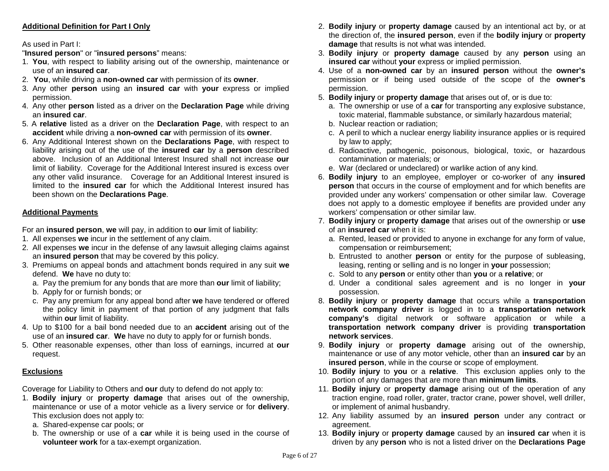# **Additional Definition for Part I Only**

## As used in Part I:

"**Insured person**" or "**insured persons**" means:

- 1. **You**, with respect to liability arising out of the ownership, maintenance or use of an **insured car**.
- 2. **You**, while driving a **non-owned car** with permission of its **owner**.
- 3. Any other **person** using an **insured car** with **your** express or implied permission.
- 4. Any other **person** listed as a driver on the **Declaration Page** while driving an **insured car**.
- 5. A **relative** listed as a driver on the **Declaration Page**, with respect to an **accident** while driving a **non-owned car** with permission of its **owner**.
- 6. Any Additional Interest shown on the **Declarations Page**, with respect to liability arising out of the use of the **insured car** by a **person** described above. Inclusion of an Additional Interest Insured shall not increase **our** limit of liability. Coverage for the Additional Interest insured is excess over any other valid insurance. Coverage for an Additional Interest insured is limited to the **insured car** for which the Additional Interest insured has been shown on the **Declarations Page**.

# **Additional Payments**

For an **insured person**, **we** will pay, in addition to **our** limit of liability:

- 1. All expenses **we** incur in the settlement of any claim.
- 2. All expenses **we** incur in the defense of any lawsuit alleging claims against an **insured person** that may be covered by this policy.
- 3. Premiums on appeal bonds and attachment bonds required in any suit **we**  defend. **We** have no duty to:
	- a. Pay the premium for any bonds that are more than **our** limit of liability;
	- b. Apply for or furnish bonds; or
	- c. Pay any premium for any appeal bond after **we** have tendered or offered the policy limit in payment of that portion of any judgment that falls within **our** limit of liability.
- 4. Up to \$100 for a bail bond needed due to an **accident** arising out of the use of an **insured car**. **We** have no duty to apply for or furnish bonds.
- 5. Other reasonable expenses, other than loss of earnings, incurred at **our** request.

# **Exclusions**

Coverage for Liability to Others and **our** duty to defend do not apply to:

- 1. **Bodily injury** or **property damage** that arises out of the ownership, maintenance or use of a motor vehicle as a livery service or for **delivery**. This exclusion does not apply to:
	- a. Shared-expense car pools; or
	- b. The ownership or use of a **car** while it is being used in the course of **volunteer work** for a tax-exempt organization.
- 2. **Bodily injury** or **property damage** caused by an intentional act by, or at the direction of, the **insured person**, even if the **bodily injury** or **property damage** that results is not what was intended.
- 3. **Bodily injury** or **property damage** caused by any **person** using an **insured car** without **your** express or implied permission.
- 4. Use of a **non-owned car** by an **insured person** without the **owner's** permission or if being used outside of the scope of the **owner's** permission.
- 5. **Bodily injury** or **property damage** that arises out of, or is due to:
	- a. The ownership or use of a **car** for transporting any explosive substance, toxic material, flammable substance, or similarly hazardous material;
	- b. Nuclear reaction or radiation;
	- c. A peril to which a nuclear energy liability insurance applies or is required by law to apply;
	- d. Radioactive, pathogenic, poisonous, biological, toxic, or hazardous contamination or materials; or
	- e. War (declared or undeclared) or warlike action of any kind.
- 6. **Bodily injury** to an employee, employer or co-worker of any **insured person** that occurs in the course of employment and for which benefits are provided under any workers' compensation or other similar law. Coverage does not apply to a domestic employee if benefits are provided under any workers' compensation or other similar law.
- 7. **Bodily injury** or **property damage** that arises out of the ownership or **use** of an **insured car** when it is:
	- a. Rented, leased or provided to anyone in exchange for any form of value, compensation or reimbursement;
	- b. Entrusted to another **person** or entity for the purpose of subleasing, leasing, renting or selling and is no longer in **your** possession;
	- c. Sold to any **person** or entity other than **you** or a **relative**; or
	- d. Under a conditional sales agreement and is no longer in **your**  possession.
- 8. **Bodily injury** or **property damage** that occurs while a **transportation network company driver** is logged in to a **transportation network company's** digital network or software application or while a **transportation network company driver** is providing **transportation network services**.
- 9. **Bodily injury** or **property damage** arising out of the ownership, maintenance or use of any motor vehicle, other than an **insured car** by an **insured person**, while in the course or scope of employment.
- 10. **Bodily injury** to **you** or a **relative**. This exclusion applies only to the portion of any damages that are more than **minimum limits**.
- 11. **Bodily injury** or **property damage** arising out of the operation of any traction engine, road roller, grater, tractor crane, power shovel, well driller, or implement of animal husbandry.
- 12. Any liability assumed by an **insured person** under any contract or agreement.
- 13. **Bodily injury** or **property damage** caused by an **insured car** when it is driven by any **person** who is not a listed driver on the **Declarations Page**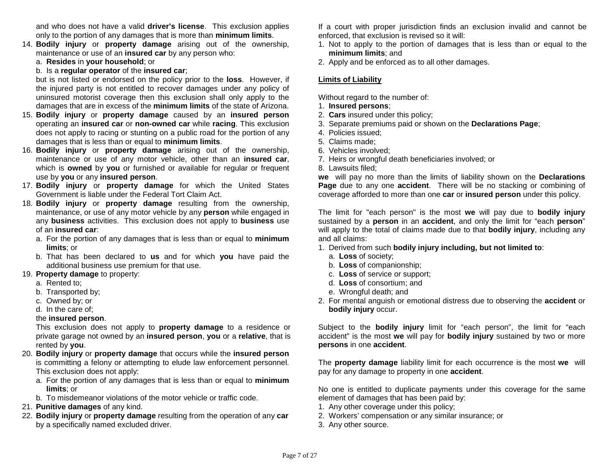and who does not have a valid **driver's license**. This exclusion applies only to the portion of any damages that is more than **minimum limits**.

- 14. **Bodily injury** or **property damage** arising out of the ownership, maintenance or use of an **insured car** by any person who:
	- a. **Resides** in **your household**; or
	- b. Is a **regular operator** of the **insured car**;

but is not listed or endorsed on the policy prior to the **loss**. However, if the injured party is not entitled to recover damages under any policy of uninsured motorist coverage then this exclusion shall only apply to the damages that are in excess of the **minimum limits** of the state of Arizona.

- 15. **Bodily injury** or **property damage** caused by an **insured person**  operating an **insured car** or **non-owned car** while **racing**. This exclusion does not apply to racing or stunting on a public road for the portion of any damages that is less than or equal to **minimum limits**.
- 16. **Bodily injury** or **property damage** arising out of the ownership, maintenance or use of any motor vehicle, other than an **insured car**, which is **owned** by **you** or furnished or available for regular or frequent use by **you** or any **insured person**.
- 17. **Bodily injury** or **property damage** for which the United States Government is liable under the Federal Tort Claim Act.
- 18. **Bodily injury** or **property damage** resulting from the ownership, maintenance, or use of any motor vehicle by any **person** while engaged in any **business** activities. This exclusion does not apply to **business** use of an **insured car**:
	- a. For the portion of any damages that is less than or equal to **minimum limits**; or
	- b. That has been declared to **us** and for which **you** have paid the additional business use premium for that use.
- 19. **Property damage** to property:
	- a. Rented to;
	- b. Transported by;
	- c. Owned by; or
	- d. In the care of;

# the **insured person**.

This exclusion does not apply to **property damage** to a residence or private garage not owned by an **insured person**, **you** or a **relative**, that is rented by **you**.

- 20. **Bodily injury** or **property damage** that occurs while the **insured person** is committing a felony or attempting to elude law enforcement personnel. This exclusion does not apply:
	- a. For the portion of any damages that is less than or equal to **minimum limits**; or
	- b. To misdemeanor violations of the motor vehicle or traffic code.
- 21. **Punitive damages** of any kind.
- 22. **Bodily injury** or **property damage** resulting from the operation of any **car** by a specifically named excluded driver.

If a court with proper jurisdiction finds an exclusion invalid and cannot be enforced, that exclusion is revised so it will:

- 1. Not to apply to the portion of damages that is less than or equal to the **minimum limits**; and
- 2. Apply and be enforced as to all other damages.

# **Limits of Liability**

Without regard to the number of:

- 1. **Insured persons**;
- 2. **Cars** insured under this policy;
- 3. Separate premiums paid or shown on the **Declarations Page**;
- 4. Policies issued;
- 5. Claims made;
- 6. Vehicles involved;
- 7. Heirs or wrongful death beneficiaries involved; or
- 8. Lawsuits filed;

**we** will pay no more than the limits of liability shown on the **Declarations Page** due to any one **accident**. There will be no stacking or combining of coverage afforded to more than one **car** or **insured person** under this policy.

The limit for "each person" is the most **we** will pay due to **bodily injury** sustained by a **person** in an **accident**, and only the limit for "each **person**" will apply to the total of claims made due to that **bodily injury**, including any and all claims:

- 1. Derived from such **bodily injury including, but not limited to**:
	- a. **Loss** of society;
	- b. **Loss** of companionship;
	- c. **Loss** of service or support;
	- d. **Loss** of consortium; and
	- e. Wrongful death; and
- 2. For mental anguish or emotional distress due to observing the **accident** or **bodily injury** occur.

Subject to the **bodily injury** limit for "each person", the limit for "each accident" is the most **we** will pay for **bodily injury** sustained by two or more **persons** in one **accident**.

The **property damage** liability limit for each occurrence is the most **we** will pay for any damage to property in one **accident**.

No one is entitled to duplicate payments under this coverage for the same element of damages that has been paid by:

- 1. Any other coverage under this policy;
- 2. Workers' compensation or any similar insurance; or
- 3. Any other source.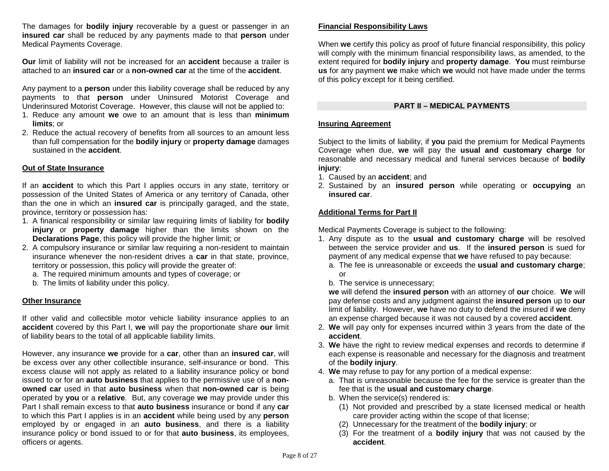The damages for **bodily injury** recoverable by a guest or passenger in an **insured car** shall be reduced by any payments made to that **person** under Medical Payments Coverage.

**Our** limit of liability will not be increased for an **accident** because a trailer is attached to an **insured car** or a **non-owned car** at the time of the **accident**.

Any payment to a **person** under this liability coverage shall be reduced by any payments to that **person** under Uninsured Motorist Coverage and Underinsured Motorist Coverage. However, this clause will not be applied to:

- 1. Reduce any amount **we** owe to an amount that is less than **minimum limits**; or
- 2. Reduce the actual recovery of benefits from all sources to an amount less than full compensation for the **bodily injury** or **property damage** damages sustained in the **accident**.

## **Out of State Insurance**

If an **accident** to which this Part I applies occurs in any state, territory or possession of the United States of America or any territory of Canada, other than the one in which an **insured car** is principally garaged, and the state, province, territory or possession has:

- 1. A finanical responsibility or similar law requiring limits of liability for **bodily injury** or **property damage** higher than the limits shown on the **Declarations Page**, this policy will provide the higher limit; or
- 2. A compulsory insurance or similar law requiring a non-resident to maintain insurance whenever the non-resident drives a **car** in that state, province, territory or possession, this policy will provide the greater of:
	- a. The required minimum amounts and types of coverage; or
	- b. The limits of liability under this policy.

#### **Other Insurance**

If other valid and collectible motor vehicle liability insurance applies to an **accident** covered by this Part I, **we** will pay the proportionate share **our** limit of liability bears to the total of all applicable liability limits.

However, any insurance **we** provide for a **car**, other than an **insured car**, will be excess over any other collectible insurance, self-insurance or bond. This excess clause will not apply as related to a liability insurance policy or bond issued to or for an **auto business** that applies to the permissive use of a **nonowned car** used in that **auto business** when that **non-owned car** is being operated by **you** or a **relative**. But, any coverage **we** may provide under this Part I shall remain excess to that **auto business** insurance or bond if any **car** to which this Part I applies is in an **accident** while being used by any **person** employed by or engaged in an **auto business**, and there is a liability insurance policy or bond issued to or for that **auto business**, its employees, officers or agents.

# **Financial Responsibility Laws**

When **we** certify this policy as proof of future financial responsibility, this policy will comply with the minimum financial responsibility laws, as amended, to the extent required for **bodily injury** and **property damage**. **You** must reimburse **us** for any payment **we** make which **we** would not have made under the terms of this policy except for it being certified.

## **PART II – MEDICAL PAYMENTS**

#### **Insuring Agreement**

Subject to the limits of liability, if **you** paid the premium for Medical Payments Coverage when due, **we** will pay the **usual and customary charge** for reasonable and necessary medical and funeral services because of **bodily injury**:

- 1. Caused by an **accident**; and
- 2. Sustained by an **insured person** while operating or **occupying** an **insured car**.

# **Additional Terms for Part II**

Medical Payments Coverage is subject to the following:

- 1. Any dispute as to the **usual and customary charge** will be resolved between the service provider and **us**. If the **insured person** is sued for payment of any medical expense that **we** have refused to pay because:
	- a. The fee is unreasonable or exceeds the **usual and customary charge**; or
	- b. The service is unnecessary;

**we** will defend the **insured person** with an attorney of **our** choice. **We** will pay defense costs and any judgment against the **insured person** up to **our**  limit of liability. However, **we** have no duty to defend the insured if **we** deny an expense charged because it was not caused by a covered **accident**.

- 2. **We** will pay only for expenses incurred within 3 years from the date of the **accident**.
- 3. **We** have the right to review medical expenses and records to determine if each expense is reasonable and necessary for the diagnosis and treatment of the **bodily injury**.
- 4. **We** may refuse to pay for any portion of a medical expense:
	- a. That is unreasonable because the fee for the service is greater than the fee that is the **usual and customary charge**.
	- b. When the service(s) rendered is:
		- (1) Not provided and prescribed by a state licensed medical or health care provider acting within the scope of that license;
		- (2) Unnecessary for the treatment of the **bodily injury**; or
		- (3) For the treatment of a **bodily injury** that was not caused by the **accident**.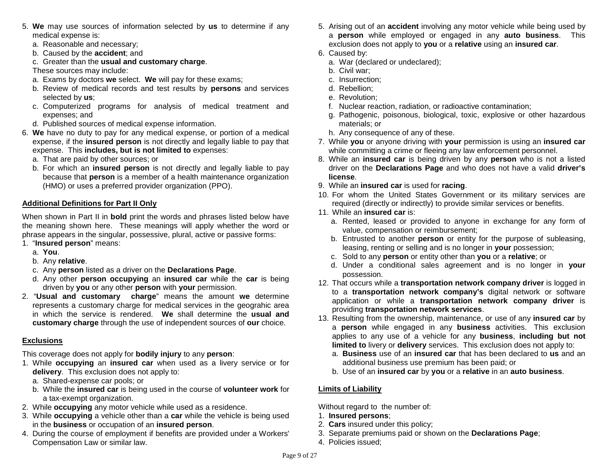- 5. **We** may use sources of information selected by **us** to determine if any medical expense is:
	- a. Reasonable and necessary;
	- b. Caused by the **accident**; and
	- c. Greater than the **usual and customary charge**.

These sources may include:

- a. Exams by doctors **we** select. **We** will pay for these exams;
- b. Review of medical records and test results by **persons** and services selected by **us**;
- c. Computerized programs for analysis of medical treatment and expenses; and
- d. Published sources of medical expense information.
- 6. **We** have no duty to pay for any medical expense, or portion of a medical expense, if the **insured person** is not directly and legally liable to pay that expense. This **includes, but is not limited to** expenses:
	- a. That are paid by other sources; or
	- b. For which an **insured person** is not directly and legally liable to pay because that **person** is a member of a health maintenance organization (HMO) or uses a preferred provider organization (PPO).

# **Additional Definitions for Part II Only**

When shown in Part II in **bold** print the words and phrases listed below have the meaning shown here. These meanings will apply whether the word or phrase appears in the singular, possessive, plural, active or passive forms:

- 1. "**Insured person**" means:
	- a. **You**.
	- b. Any **relative**.
	- c. Any **person** listed as a driver on the **Declarations Page**.
	- d. Any other **person occupying** an **insured car** while the **car** is being driven by **you** or any other **person** with **your** permission.
- 2. "**Usual and customary charge**" means the amount **we** determine represents a customary charge for medical services in the geograhic area in which the service is rendered. **We** shall determine the **usual and customary charge** through the use of independent sources of **our** choice.

# **Exclusions**

This coverage does not apply for **bodily injury** to any **person**:

- 1. While **occupying** an **insured car** when used as a livery service or for **delivery**. This exclusion does not apply to:
	- a. Shared-expense car pools; or
	- b. While the **insured car** is being used in the course of **volunteer work** for a tax-exempt organization.
- 2. While **occupying** any motor vehicle while used as a residence.
- 3. While **occupying** a vehicle other than a **car** while the vehicle is being used in the **business** or occupation of an **insured person**.
- 4. During the course of employment if benefits are provided under a Workers' Compensation Law or similar law.
- 5. Arising out of an **accident** involving any motor vehicle while being used by a **person** while employed or engaged in any **auto business**. This exclusion does not apply to **you** or a **relative** using an **insured car**.
- 6. Caused by:
	- a. War (declared or undeclared);
	- b. Civil war;
	- c. Insurrection;
	- d. Rebellion;
	- e. Revolution;
	- f. Nuclear reaction, radiation, or radioactive contamination;
	- g. Pathogenic, poisonous, biological, toxic, explosive or other hazardous materials; or
	- h. Any consequence of any of these.
- 7. While **you** or anyone driving with **your** permission is using an **insured car** while committing a crime or fleeing any law enforcement personnel.
- 8. While an **insured car** is being driven by any **person** who is not a listed driver on the **Declarations Page** and who does not have a valid **driver's license**.
- 9. While an **insured car** is used for **racing**.
- 10. For whom the United States Government or its military services are required (directly or indirectly) to provide similar services or benefits.
- 11. While an **insured car** is:
	- a. Rented, leased or provided to anyone in exchange for any form of value, compensation or reimbursement;
	- b. Entrusted to another **person** or entity for the purpose of subleasing, leasing, renting or selling and is no longer in **your** possession;
	- c. Sold to any **person** or entity other than **you** or a **relative**; or
	- d. Under a conditional sales agreement and is no longer in **your**  possession.
- 12. That occurs while a **transportation network company driver** is logged in to a **transportation network company's** digital network or software application or while a **transportation network company driver** is providing **transportation network services**.
- 13. Resulting from the ownership, maintenance, or use of any **insured car** by a **person** while engaged in any **business** activities. This exclusion applies to any use of a vehicle for any **business**, **including but not limited to** livery or **delivery** services. This exclusion does not apply to:
	- a. **Business** use of an **insured car** that has been declared to **us** and an additional business use premium has been paid; or
	- b. Use of an **insured car** by **you** or a **relative** in an **auto business**.

# **Limits of Liability**

Without regard to the number of:

- 1. **Insured persons**;
- 2. **Cars** insured under this policy;
- 3. Separate premiums paid or shown on the **Declarations Page**;
- 4. Policies issued;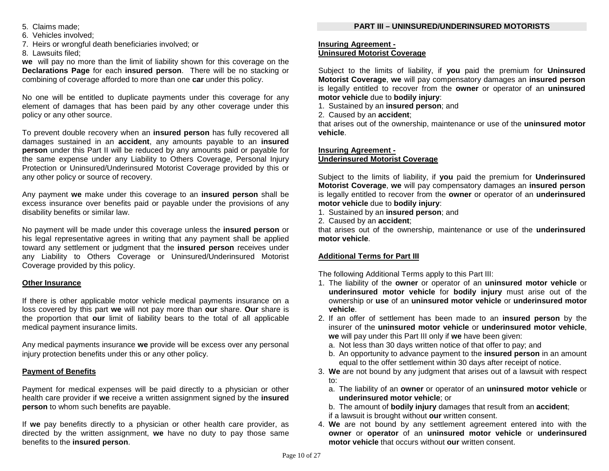- 6. Vehicles involved;
- 7. Heirs or wrongful death beneficiaries involved; or

8. Lawsuits filed;

**we** will pay no more than the limit of liability shown for this coverage on the **Declarations Page** for each **insured person**. There will be no stacking or combining of coverage afforded to more than one **car** under this policy.

No one will be entitled to duplicate payments under this coverage for any element of damages that has been paid by any other coverage under this policy or any other source.

To prevent double recovery when an **insured person** has fully recovered all damages sustained in an **accident**, any amounts payable to an **insured person** under this Part II will be reduced by any amounts paid or payable for the same expense under any Liability to Others Coverage, Personal Injury Protection or Uninsured/Underinsured Motorist Coverage provided by this or any other policy or source of recovery.

Any payment **we** make under this coverage to an **insured person** shall be excess insurance over benefits paid or payable under the provisions of any disability benefits or similar law.

No payment will be made under this coverage unless the **insured person** or his legal representative agrees in writing that any payment shall be applied toward any settlement or judgment that the **insured person** receives under any Liability to Others Coverage or Uninsured/Underinsured Motorist Coverage provided by this policy.

# **Other Insurance**

If there is other applicable motor vehicle medical payments insurance on a loss covered by this part **we** will not pay more than **our** share. **Our** share is the proportion that **our** limit of liability bears to the total of all applicable medical payment insurance limits.

Any medical payments insurance **we** provide will be excess over any personal injury protection benefits under this or any other policy.

# **Payment of Benefits**

Payment for medical expenses will be paid directly to a physician or other health care provider if **we** receive a written assignment signed by the **insured person** to whom such benefits are payable.

If **we** pay benefits directly to a physician or other health care provider, as directed by the written assignment, **we** have no duty to pay those same benefits to the **insured person**.

# **PART III – UNINSURED/UNDERINSURED MOTORISTS**

## **Insuring Agreement - Uninsured Motorist Coverage**

Subject to the limits of liability, if **you** paid the premium for **Uninsured Motorist Coverage**, **we** will pay compensatory damages an **insured person** is legally entitled to recover from the **owner** or operator of an **uninsured motor vehicle** due to **bodily injury**:

1. Sustained by an **insured person**; and

2. Caused by an **accident**;

that arises out of the ownership, maintenance or use of the **uninsured motor vehicle**.

# **Insuring Agreement - Underinsured Motorist Coverage**

Subject to the limits of liability, if **you** paid the premium for **Underinsured Motorist Coverage**, **we** will pay compensatory damages an **insured person** is legally entitled to recover from the **owner** or operator of an **underinsured motor vehicle** due to **bodily injury**:

- 1. Sustained by an **insured person**; and
- 2. Caused by an **accident**;

that arises out of the ownership, maintenance or use of the **underinsured motor vehicle**.

# **Additional Terms for Part III**

The following Additional Terms apply to this Part III:

- 1. The liability of the **owner** or operator of an **uninsured motor vehicle** or **underinsured motor vehicle** for **bodily injury** must arise out of the ownership or **use** of an **uninsured motor vehicle** or **underinsured motor vehicle**.
- 2. If an offer of settlement has been made to an **insured person** by the insurer of the **uninsured motor vehicle** or **underinsured motor vehicle**, **we** will pay under this Part III only if **we** have been given:
	- a. Not less than 30 days written notice of that offer to pay; and
	- b. An opportunity to advance payment to the **insured person** in an amount equal to the offer settlement within 30 days after receipt of notice.
- 3. **We** are not bound by any judgment that arises out of a lawsuit with respect to:
	- a. The liability of an **owner** or operator of an **uninsured motor vehicle** or **underinsured motor vehicle**; or
	- b. The amount of **bodily injury** damages that result from an **accident**;
	- if a lawsuit is brought without **our** written consent.
- 4. **We** are not bound by any settlement agreement entered into with the **owner** or **operator** of an **uninsured motor vehicle** or **underinsured motor vehicle** that occurs without **our** written consent.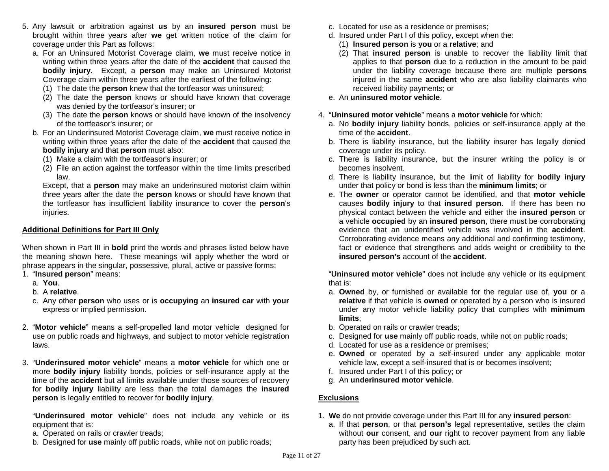- 5. Any lawsuit or arbitration against **us** by an **insured person** must be brought within three years after **we** get written notice of the claim for coverage under this Part as follows:
	- a. For an Uninsured Motorist Coverage claim, **we** must receive notice in writing within three years after the date of the **accident** that caused the **bodily injury**. Except, a **person** may make an Uninsured Motorist Coverage claim within three years after the earliest of the following:
		- (1) The date the **person** knew that the tortfeasor was uninsured;
		- (2) The date the **person** knows or should have known that coverage was denied by the tortfeasor's insurer; or
		- (3) The date the **person** knows or should have known of the insolvency of the tortfeasor's insurer; or
	- b. For an Underinsured Motorist Coverage claim, **we** must receive notice in writing within three years after the date of the **accident** that caused the **bodily injury** and that **person** must also:
		- (1) Make a claim with the tortfeasor's insurer; or
		- (2) File an action against the tortfeasor within the time limits prescribed law.

Except, that a **person** may make an underinsured motorist claim within three years after the date the **person** knows or should have known that the tortfeasor has insufficient liability insurance to cover the **person**'s injuries.

# **Additional Definitions for Part III Only**

When shown in Part III in **bold** print the words and phrases listed below have the meaning shown here. These meanings will apply whether the word or phrase appears in the singular, possessive, plural, active or passive forms:

- 1. "**Insured person**" means:
	- a. **You**.
	- b. A **relative**.
	- c. Any other **person** who uses or is **occupying** an **insured car** with **your** express or implied permission.
- 2. "**Motor vehicle**" means a self-propelled land motor vehicle designed for use on public roads and highways, and subject to motor vehicle registration laws.
- 3. "**Underinsured motor vehicle**" means a **motor vehicle** for which one or more **bodily injury** liability bonds, policies or self-insurance apply at the time of the **accident** but all limits available under those sources of recovery for **bodily injury** liability are less than the total damages the **insured person** is legally entitled to recover for **bodily injury**.

"**Underinsured motor vehicle**" does not include any vehicle or its equipment that is:

- a. Operated on rails or crawler treads;
- b. Designed for **use** mainly off public roads, while not on public roads;
- c. Located for use as a residence or premises;
- d. Insured under Part I of this policy, except when the:
	- (1) **Insured person** is **you** or a **relative**; and
	- (2) That **insured person** is unable to recover the liability limit that applies to that **person** due to a reduction in the amount to be paid under the liability coverage because there are multiple **persons** injured in the same **accident** who are also liability claimants who received liability payments; or
- e. An **uninsured motor vehicle**.
- 4. "**Uninsured motor vehicle**" means a **motor vehicle** for which:
	- a. No **bodily injury** liability bonds, policies or self-insurance apply at the time of the **accident**.
	- b. There is liability insurance, but the liability insurer has legally denied coverage under its policy.
	- c. There is liability insurance, but the insurer writing the policy is or becomes insolvent.
	- d. There is liability insurance, but the limit of liability for **bodily injury** under that policy or bond is less than the **minimum limits**; or
	- e. The **owner** or operator cannot be identified, and that **motor vehicle** causes **bodily injury** to that **insured person**. If there has been no physical contact between the vehicle and either the **insured person** or a vehicle **occupied** by an **insured person**, there must be corroborating evidence that an unidentified vehicle was involved in the **accident**. Corroborating evidence means any additional and confirming testimony, fact or evidence that strengthens and adds weight or credibility to the **insured person's** account of the **accident**.

"**Uninsured motor vehicle**" does not include any vehicle or its equipment that is:

- a. **Owned** by, or furnished or available for the regular use of, **you** or a **relative** if that vehicle is **owned** or operated by a person who is insured under any motor vehicle liability policy that complies with **minimum limits**;
- b. Operated on rails or crawler treads;
- c. Designed for **use** mainly off public roads, while not on public roads;
- d. Located for use as a residence or premises;
- e. **Owned** or operated by a self-insured under any applicable motor vehicle law, except a self-insured that is or becomes insolvent;
- f. Insured under Part I of this policy; or
- g. An **underinsured motor vehicle**.

# **Exclusions**

- 1. **We** do not provide coverage under this Part III for any **insured person**:
	- a. If that **person**, or that **person's** legal representative, settles the claim without **our** consent, and **our** right to recover payment from any liable party has been prejudiced by such act.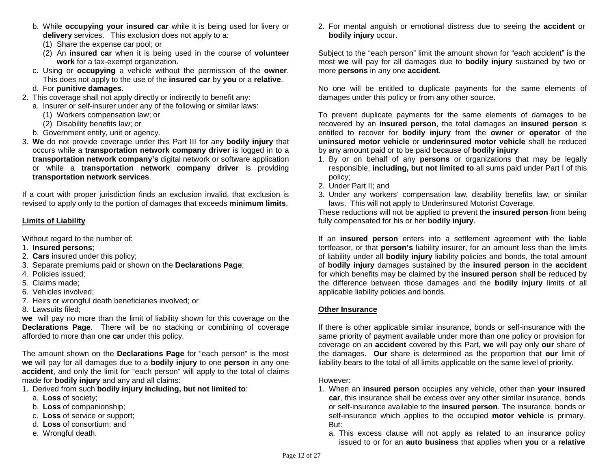- b. While **occupying your insured car** while it is being used for livery or **delivery** services. This exclusion does not apply to a:
	- (1) Share the expense car pool; or
	- (2) An **insured car** when it is being used in the course of **volunteer work** for a tax-exempt organization.
- c. Using or **occupying** a vehicle without the permission of the **owner**. This does not apply to the use of the **insured car** by **you** or a **relative**.
- d. For **punitive damages**.
- 2. This coverage shall not apply directly or indirectly to benefit any:
- a. Insurer or self-insurer under any of the following or similar laws:
	- (1) Workers compensation law; or
		- (2) Disability benefits law; or
- b. Government entity, unit or agency.
- 3. **We** do not provide coverage under this Part III for any **bodily injury** that occurs while a **transportation network company driver** is logged in to a **transportation network company's** digital network or software application or while a **transportation network company driver** is providing **transportation network services**.

If a court with proper jurisdiction finds an exclusion invalid, that exclusion is revised to apply only to the portion of damages that exceeds **minimum limits**.

# **Limits of Liability**

Without regard to the number of:

- 1. **Insured persons**;
- 2. **Cars** insured under this policy;
- 3. Separate premiums paid or shown on the **Declarations Page**;
- 4. Policies issued;
- 5. Claims made;
- 6. Vehicles involved;
- 7. Heirs or wrongful death beneficiaries involved; or
- 8. Lawsuits filed;

**we** will pay no more than the limit of liability shown for this coverage on the **Declarations Page**. There will be no stacking or combining of coverage afforded to more than one **car** under this policy.

The amount shown on the **Declarations Page** for "each person" is the most **we** will pay for all damages due to a **bodily injury** to one **person** in any one **accident**, and only the limit for "each person" will apply to the total of claims made for **bodily injury** and any and all claims:

- 1. Derived from such **bodily injury including, but not limited to**:
	- a. **Loss** of society;
	- b. **Loss** of companionship;
	- c. **Loss** of service or support;
	- d. **Loss** of consortium; and
	- e. Wrongful death.

2. For mental anguish or emotional distress due to seeing the **accident** or **bodily injury** occur.

Subject to the "each person" limit the amount shown for "each accident" is the most **we** will pay for all damages due to **bodily injury** sustained by two or more **persons** in any one **accident**.

No one will be entitled to duplicate payments for the same elements of damages under this policy or from any other source.

To prevent duplicate payments for the same elements of damages to be recovered by an **insured person**, the total damages an **insured person** is entitled to recover for **bodily injury** from the **owner** or **operator** of the **uninsured motor vehicle** or **underinsured motor vehicle** shall be reduced by any amount paid or to be paid because of **bodily injury**:

- 1. By or on behalf of any **persons** or organizations that may be legally responsible, **including, but not limited to** all sums paid under Part I of this policy;
- 2. Under Part II; and
- 3. Under any workers' compensation law, disability benefits law, or similar laws. This will not apply to Underinsured Motorist Coverage.

These reductions will not be applied to prevent the **insured person** from being fully compensated for his or her **bodily injury**.

If an **insured person** enters into a settlement agreement with the liable tortfeasor, or that **person's** liability insurer, for an amount less than the limits of liability under all **bodily injury** liability policies and bonds, the total amount of **bodily injury** damages sustained by the **insured person** in the **accident** for which benefits may be claimed by the **insured person** shall be reduced by the difference between those damages and the **bodily injury** limits of all applicable liability policies and bonds.

# **Other Insurance**

If there is other applicable similar insurance, bonds or self-insurance with the same priority of payment available under more than one policy or provision for coverage on an **accident** covered by this Part, **we** will pay only **our** share of the damages. **Our** share is determined as the proportion that **our** limit of liability bears to the total of all limits applicable on the same level of priority.

However:

- 1. When an **insured person** occupies any vehicle, other than **your insured car**, this insurance shall be excess over any other similar insurance, bonds or self-insurance available to the **insured person**. The insurance, bonds or self-insurance which applies to the occupied **motor vehicle** is primary. But:
	- a. This excess clause will not apply as related to an insurance policy issued to or for an **auto business** that applies when **you** or a **relative**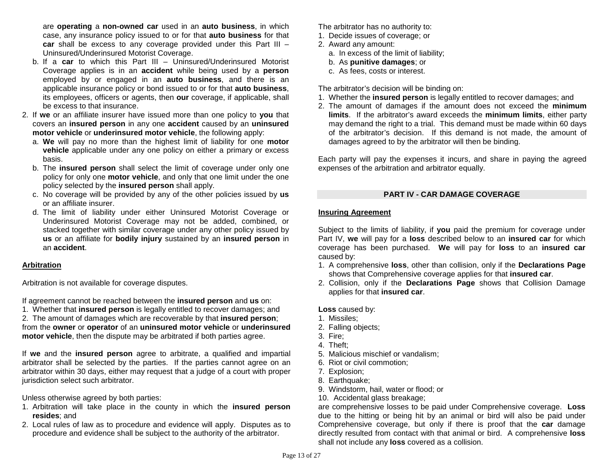are **operating** a **non-owned car** used in an **auto business**, in which case, any insurance policy issued to or for that **auto business** for that **car** shall be excess to any coverage provided under this Part III – Uninsured/Underinsured Motorist Coverage.

- b. If a **car** to which this Part III Uninsured/Underinsured Motorist Coverage applies is in an **accident** while being used by a **person** employed by or engaged in an **auto business**, and there is an applicable insurance policy or bond issued to or for that **auto business**, its employees, officers or agents, then **our** coverage, if applicable, shall be excess to that insurance.
- 2. If **we** or an affiliate insurer have issued more than one policy to **you** that covers an **insured person** in any one **accident** caused by an **uninsured motor vehicle** or **underinsured motor vehicle**, the following apply:
	- a. **We** will pay no more than the highest limit of liability for one **motor vehicle** applicable under any one policy on either a primary or excess basis.
	- b. The **insured person** shall select the limit of coverage under only one policy for only one **motor vehicle**, and only that one limit under the one policy selected by the **insured person** shall apply.
	- c. No coverage will be provided by any of the other policies issued by **us**  or an affiliate insurer.
	- d. The limit of liability under either Uninsured Motorist Coverage or Underinsured Motorist Coverage may not be added, combined, or stacked together with similar coverage under any other policy issued by **us** or an affiliate for **bodily injury** sustained by an **insured person** in an **accident**.

# **Arbitration**

Arbitration is not available for coverage disputes.

If agreement cannot be reached between the **insured person** and **us** on:

1. Whether that **insured person** is legally entitled to recover damages; and

2. The amount of damages which are recoverable by that **insured person**; from the **owner** or **operator** of an **uninsured motor vehicle** or **underinsured motor vehicle**, then the dispute may be arbitrated if both parties agree.

If **we** and the **insured person** agree to arbitrate, a qualified and impartial arbitrator shall be selected by the parties. If the parties cannot agree on an arbitrator within 30 days, either may request that a judge of a court with proper jurisdiction select such arbitrator.

Unless otherwise agreed by both parties:

- 1. Arbitration will take place in the county in which the **insured person resides**; and
- 2. Local rules of law as to procedure and evidence will apply. Disputes as to procedure and evidence shall be subject to the authority of the arbitrator.

The arbitrator has no authority to:

- 1. Decide issues of coverage; or
- 2. Award any amount:
	- a. In excess of the limit of liability;
	- b. As **punitive damages**; or
	- c. As fees, costs or interest.

The arbitrator's decision will be binding on:

- 1. Whether the **insured person** is legally entitled to recover damages; and
- 2. The amount of damages if the amount does not exceed the **minimum limits**. If the arbitrator's award exceeds the **minimum limits**, either party may demand the right to a trial. This demand must be made within 60 days of the arbitrator's decision. If this demand is not made, the amount of damages agreed to by the arbitrator will then be binding.

Each party will pay the expenses it incurs, and share in paying the agreed expenses of the arbitration and arbitrator equally.

# **PART IV - CAR DAMAGE COVERAGE**

# **Insuring Agreement**

Subject to the limits of liability, if **you** paid the premium for coverage under Part IV, **we** will pay for a **loss** described below to an **insured car** for which coverage has been purchased. **We** will pay for **loss** to an **insured car** caused by:

- 1. A comprehensive **loss**, other than collision, only if the **Declarations Page** shows that Comprehensive coverage applies for that **insured car**.
- 2. Collision, only if the **Declarations Page** shows that Collision Damage applies for that **insured car**.

**Loss** caused by:

- 1. Missiles;
- 2. Falling objects;
- 3. Fire;
- 4. Theft;
- 5. Malicious mischief or vandalism;
- 6. Riot or civil commotion;
- 7. Explosion;
- 8. Earthquake;
- 9. Windstorm, hail, water or flood; or
- 10. Accidental glass breakage;

are comprehensive losses to be paid under Comprehensive coverage. **Loss** due to the hitting or being hit by an animal or bird will also be paid under Comprehensive coverage, but only if there is proof that the **car** damage directly resulted from contact with that animal or bird. A comprehensive **loss** shall not include any **loss** covered as a collision.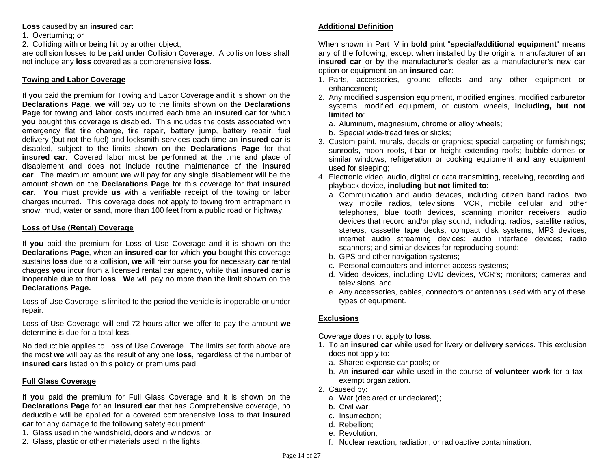## **Loss** caused by an **insured car**:

1. Overturning; or

2. Colliding with or being hit by another object;

are collision losses to be paid under Collision Coverage. A collision **loss** shall not include any **loss** covered as a comprehensive **loss**.

# **Towing and Labor Coverage**

If **you** paid the premium for Towing and Labor Coverage and it is shown on the **Declarations Page**, **we** will pay up to the limits shown on the **Declarations Page** for towing and labor costs incurred each time an **insured car** for which **you** bought this coverage is disabled. This includes the costs associated with emergency flat tire change, tire repair, battery jump, battery repair, fuel delivery (but not the fuel) and locksmith services each time an **insured car** is disabled, subject to the limits shown on the **Declarations Page** for that **insured car**. Covered labor must be performed at the time and place of disablement and does not include routine maintenance of the **insured car**. The maximum amount **we** will pay for any single disablement will be the amount shown on the **Declarations Page** for this coverage for that **insured car**. **You** must provide **us** with a verifiable receipt of the towing or labor charges incurred. This coverage does not apply to towing from entrapment in snow, mud, water or sand, more than 100 feet from a public road or highway.

# **Loss of Use (Rental) Coverage**

If **you** paid the premium for Loss of Use Coverage and it is shown on the **Declarations Page**, when an **insured car** for which **you** bought this coverage sustains **loss** due to a collision, **we** will reimburse **you** for necessary **car** rental charges **you** incur from a licensed rental car agency, while that **insured car** is inoperable due to that **loss**. **We** will pay no more than the limit shown on the **Declarations Page.**

Loss of Use Coverage is limited to the period the vehicle is inoperable or under repair.

Loss of Use Coverage will end 72 hours after **we** offer to pay the amount **we** determine is due for a total loss.

No deductible applies to Loss of Use Coverage. The limits set forth above are the most **we** will pay as the result of any one **loss**, regardless of the number of **insured cars** listed on this policy or premiums paid.

# **Full Glass Coverage**

If **you** paid the premium for Full Glass Coverage and it is shown on the **Declarations Page** for an **insured car** that has Comprehensive coverage, no deductible will be applied for a covered comprehensive **loss** to that **insured car** for any damage to the following safety equipment:

- 1. Glass used in the windshield, doors and windows; or
- 2. Glass, plastic or other materials used in the lights.

# **Additional Definition**

When shown in Part IV in **bold** print "**special/additional equipment**" means any of the following, except when installed by the original manufacturer of an **insured car** or by the manufacturer's dealer as a manufacturer's new car option or equipment on an **insured car**:

- 1. Parts, accessories, ground effects and any other equipment or enhancement;
- 2. Any modified suspension equipment, modified engines, modified carburetor systems, modified equipment, or custom wheels, **including, but not limited to**:
	- a. Aluminum, magnesium, chrome or alloy wheels;
	- b. Special wide-tread tires or slicks;
- 3. Custom paint, murals, decals or graphics; special carpeting or furnishings; sunroofs, moon roofs, t-bar or height extending roofs; bubble domes or similar windows; refrigeration or cooking equipment and any equipment used for sleeping;
- 4. Electronic video, audio, digital or data transmitting, receiving, recording and playback device, **including but not limited to**:
	- a. Communication and audio devices, including citizen band radios, two way mobile radios, televisions, VCR, mobile cellular and other telephones, blue tooth devices, scanning monitor receivers, audio devices that record and/or play sound, including: radios; satellite radios; stereos; cassette tape decks; compact disk systems; MP3 devices; internet audio streaming devices; audio interface devices; radio scanners; and similar devices for reproducing sound;
	- b. GPS and other navigation systems;
	- c. Personal computers and internet access systems;
	- d. Video devices, including DVD devices, VCR's; monitors; cameras and televisions; and
	- e. Any accessories, cables, connectors or antennas used with any of these types of equipment.

# **Exclusions**

Coverage does not apply to **loss**:

- 1. To an **insured car** while used for livery or **delivery** services. This exclusion does not apply to:
	- a. Shared expense car pools; or
	- b. An **insured car** while used in the course of **volunteer work** for a taxexempt organization.
- 2. Caused by:
	- a. War (declared or undeclared);
	- b. Civil war;
	- c. Insurrection;
	- d. Rebellion;
	- e. Revolution;
	- f. Nuclear reaction, radiation, or radioactive contamination;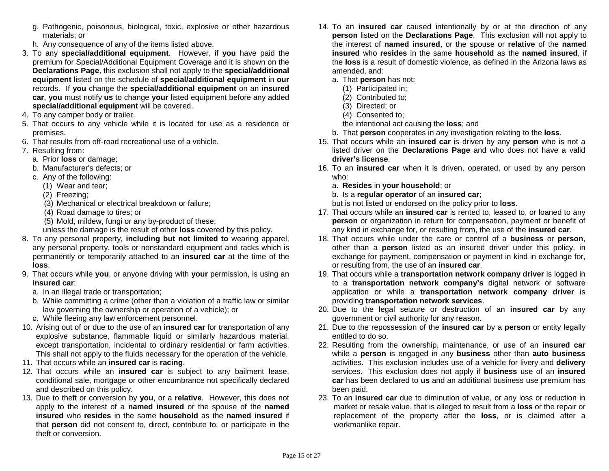- g. Pathogenic, poisonous, biological, toxic, explosive or other hazardous materials; or
- h. Any consequence of any of the items listed above.
- 3. To any **special/additional equipment**. However, if **you** have paid the premium for Special/Additional Equipment Coverage and it is shown on the **Declarations Page**, this exclusion shall not apply to the **special/additional equipment** listed on the schedule of **special/additional equipment** in **our**  records. If **you** change the **special/additional equipment** on an **insured car**, **you** must notify **us** to change **your** listed equipment before any added **special/additional equipment** will be covered.
- 4. To any camper body or trailer.
- 5. That occurs to any vehicle while it is located for use as a residence or premises.
- 6. That results from off-road recreational use of a vehicle.
- 7. Resulting from:
	- a. Prior **loss** or damage;
	- b. Manufacturer's defects; or
	- c. Any of the following:
		- (1) Wear and tear;
		- (2) Freezing;
		- (3) Mechanical or electrical breakdown or failure;
		- (4) Road damage to tires; or
		- (5) Mold, mildew, fungi or any by-product of these;
		- unless the damage is the result of other **loss** covered by this policy.
- 8. To any personal property, **including but not limited to** wearing apparel, any personal property, tools or nonstandard equipment and racks which is permanently or temporarily attached to an **insured car** at the time of the **loss**.
- 9. That occurs while **you**, or anyone driving with **your** permission, is using an **insured car**:
	- a. In an illegal trade or transportation;
	- b. While committing a crime (other than a violation of a traffic law or similar law governing the ownership or operation of a vehicle); or
	- c. While fleeing any law enforcement personnel.
- 10. Arising out of or due to the use of an **insured car** for transportation of any explosive substance, flammable liquid or similarly hazardous material, except transportation, incidental to ordinary residential or farm activities. This shall not apply to the fluids necessary for the operation of the vehicle.
- 11. That occurs while an **insured car** is **racing**.
- 12. That occurs while an **insured car** is subject to any bailment lease, conditional sale, mortgage or other encumbrance not specifically declared and described on this policy.
- 13. Due to theft or conversion by **you**, or a **relative**. However, this does not apply to the interest of a **named insured** or the spouse of the **named insured** who **resides** in the same **household** as the **named insured** if that **person** did not consent to, direct, contribute to, or participate in the theft or conversion.
- 14. To an **insured car** caused intentionally by or at the direction of any **person** listed on the **Declarations Page**. This exclusion will not apply to the interest of **named insured**, or the spouse or **relative** of the **named insured** who **resides** in the same **household** as the **named insured**, if the **loss** is a result of domestic violence, as defined in the Arizona laws as amended, and:
	- a. That **person** has not:
		- (1) Participated in;
		- (2) Contributed to;
		- (3) Directed; or
		- (4) Consented to;
		- the intentional act causing the **loss**; and
	- b. That **person** cooperates in any investigation relating to the **loss**.
- 15. That occurs while an **insured car** is driven by any **person** who is not a listed driver on the **Declarations Page** and who does not have a valid **driver's license**.
- 16. To an **insured car** when it is driven, operated, or used by any person who:
	- a. **Resides** in **your household**; or
	- b. Is a **regular operator** of an **insured car**;
	- but is not listed or endorsed on the policy prior to **loss**.
- 17. That occurs while an **insured car** is rented to, leased to, or loaned to any **person** or organization in return for compensation, payment or benefit of any kind in exchange for, or resulting from, the use of the **insured car**.
- 18. That occurs while under the care or control of a **business** or **person**, other than a **person** listed as an insured driver under this policy, in exchange for payment, compensation or payment in kind in exchange for, or resulting from, the use of an **insured car**.
- 19. That occurs while a **transportation network company driver** is logged in to a **transportation network company's** digital network or software application or while a **transportation network company driver** is providing **transportation network services**.
- 20. Due to the legal seizure or destruction of an **insured car** by any government or civil authority for any reason.
- 21. Due to the repossession of the **insured car** by a **person** or entity legally entitled to do so.
- 22. Resulting from the ownership, maintenance, or use of an **insured car** while a **person** is engaged in any **business** other than **auto business** activities. This exclusion includes use of a vehicle for livery and **delivery** services. This exclusion does not apply if **business** use of an **insured car** has been declared to **us** and an additional business use premium has been paid.
- 23. To an **insured car** due to diminution of value, or any loss or reduction in market or resale value, that is alleged to result from a **loss** or the repair or replacement of the property after the **loss**, or is claimed after a workmanlike repair.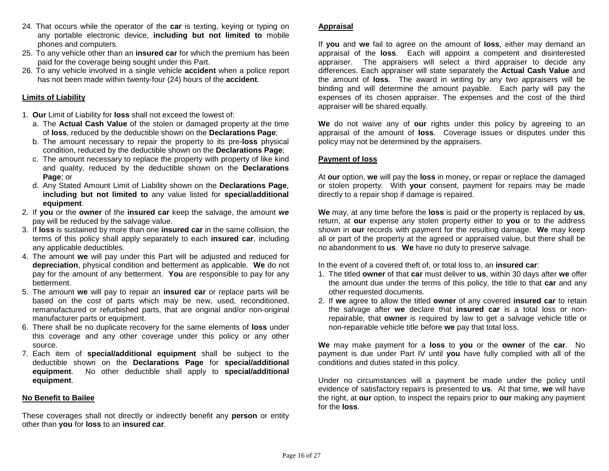- 24. That occurs while the operator of the **car** is texting, keying or typing on any portable electronic device, **including but not limited to** mobile phones and computers.
- 25. To any vehicle other than an **insured car** for which the premium has been paid for the coverage being sought under this Part.
- 26. To any vehicle involved in a single vehicle **accident** when a police report has not been made within twenty-four (24) hours of the **accident**.

## **Limits of Liability**

- 1. **Our** Limit of Liability for **loss** shall not exceed the lowest of:
	- a. The **Actual Cash Value** of the stolen or damaged property at the time of **loss**, reduced by the deductible shown on the **Declarations Page**;
	- b. The amount necessary to repair the property to its pre-**loss** physical condition, reduced by the deductible shown on the **Declarations Page**;
	- c. The amount necessary to replace the property with property of like kind and quality, reduced by the deductible shown on the **Declarations Page**; or
	- d. Any Stated Amount Limit of Liability shown on the **Declarations Page**, **including but not limited to** any value listed for **special/additional equipment**.
- 2. If **you** or the **owner** of the **insured car** keep the salvage, the amount **we** pay will be reduced by the salvage value.
- 3. If **loss** is sustained by more than one **insured car** in the same collision, the terms of this policy shall apply separately to each **insured car**, including any applicable deductibles.
- 4. The amount **we** will pay under this Part will be adjusted and reduced for **depreciation**, physical condition and betterment as applicable. **We** do not pay for the amount of any betterment. **You** are responsible to pay for any betterment.
- 5. The amount **we** will pay to repair an **insured car** or replace parts will be based on the cost of parts which may be new, used, reconditioned, remanufactured or refurbished parts, that are original and/or non-original manufacturer parts or equipment.
- 6. There shall be no duplicate recovery for the same elements of **loss** under this coverage and any other coverage under this policy or any other source.
- 7. Each item of **special/additional equipment** shall be subject to the deductible shown on the **Declarations Page** for **special/additional equipment**. No other deductible shall apply to **special/additional equipment**.

#### **No Benefit to Bailee**

These coverages shall not directly or indirectly benefit any **person** or entity other than **you** for **loss** to an **insured car**.

# **Appraisal**

If **you** and **we** fail to agree on the amount of **loss**, either may demand an appraisal of the **loss**. Each will appoint a competent and disinterested appraiser. The appraisers will select a third appraiser to decide any differences. Each appraiser will state separately the **Actual Cash Value** and the amount of **loss**. The award in writing by any two appraisers will be binding and will determine the amount payable. Each party will pay the expenses of its chosen appraiser. The expenses and the cost of the third appraiser will be shared equally.

**We** do not waive any of **our** rights under this policy by agreeing to an appraisal of the amount of **loss**. Coverage issues or disputes under this policy may not be determined by the appraisers.

# **Payment of loss**

At **our** option, **we** will pay the **loss** in money, or repair or replace the damaged or stolen property. With **your** consent, payment for repairs may be made directly to a repair shop if damage is repaired.

**We** may, at any time before the **loss** is paid or the property is replaced by **us**, return, at **our** expense any stolen property either to **you** or to the address shown in **our** records with payment for the resulting damage. **We** may keep all or part of the property at the agreed or appraised value, but there shall be no abandonment to **us**. **We** have no duty to preserve salvage.

In the event of a covered theft of, or total loss to, an **insured car**:

- 1. The titled **owner** of that **car** must deliver to **us**, within 30 days after **we** offer the amount due under the terms of this policy, the title to that **car** and any other requested documents.
- 2. If **we** agree to allow the titled **owner** of any covered **insured car** to retain the salvage after **we** declare that **insured car** is a total loss or nonrepairable, that **owner** is required by law to get a salvage vehicle title or non-repairable vehicle title before **we** pay that total loss.

**We** may make payment for a **loss** to **you** or the **owner** of the **car**. No payment is due under Part IV until **you** have fully complied with all of the conditions and duties stated in this policy.

Under no circumstances will a payment be made under the policy until evidence of satisfactory repairs is presented to **us**. At that time, **we** will have the right, at **our** option, to inspect the repairs prior to **our** making any payment for the **loss**.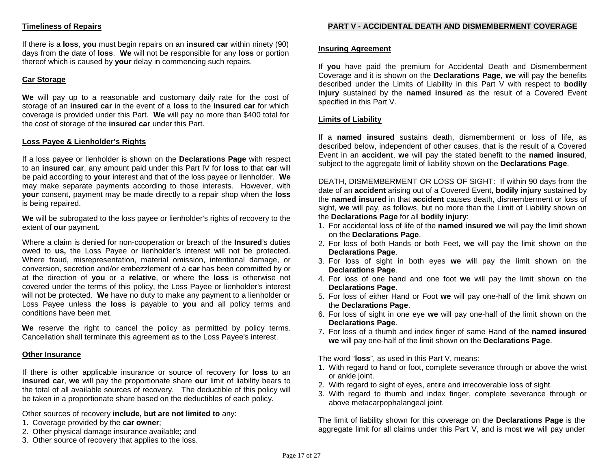# **Timeliness of Repairs**

If there is a **loss**, **you** must begin repairs on an **insured car** within ninety (90) days from the date of **loss**. **We** will not be responsible for any **loss** or portion thereof which is caused by **your** delay in commencing such repairs.

# **Car Storage**

**We** will pay up to a reasonable and customary daily rate for the cost of storage of an **insured car** in the event of a **loss** to the **insured car** for which coverage is provided under this Part. **We** will pay no more than \$400 total for the cost of storage of the **insured car** under this Part.

#### **Loss Payee & Lienholder's Rights**

If a loss payee or lienholder is shown on the **Declarations Page** with respect to an **insured car**, any amount paid under this Part IV for **loss** to that **car** will be paid according to **your** interest and that of the loss payee or lienholder. **We** may make separate payments according to those interests. However, with **your** consent, payment may be made directly to a repair shop when the **loss** is being repaired.

**We** will be subrogated to the loss payee or lienholder's rights of recovery to the extent of **our** payment.

Where a claim is denied for non-cooperation or breach of the **Insured**'s duties owed to **us,** the Loss Payee or lienholder's interest will not be protected. Where fraud, misrepresentation, material omission, intentional damage, or conversion, secretion and/or embezzlement of a **car** has been committed by or at the direction of **you** or a **relative**, or where the **loss** is otherwise not covered under the terms of this policy, the Loss Payee or lienholder's interest will not be protected. **We** have no duty to make any payment to a lienholder or Loss Payee unless the **loss** is payable to **you** and all policy terms and conditions have been met.

**We** reserve the right to cancel the policy as permitted by policy terms. Cancellation shall terminate this agreement as to the Loss Payee's interest.

#### **Other Insurance**

If there is other applicable insurance or source of recovery for **loss** to an **insured car**, **we** will pay the proportionate share **our** limit of liability bears to the total of all available sources of recovery. The deductible of this policy will be taken in a proportionate share based on the deductibles of each policy.

Other sources of recovery **include, but are not limited to** any:

- 1. Coverage provided by the **car owner**;
- 2. Other physical damage insurance available; and
- 3. Other source of recovery that applies to the loss.

#### **Insuring Agreement**

If **you** have paid the premium for Accidental Death and Dismemberment Coverage and it is shown on the **Declarations Page**, **we** will pay the benefits described under the Limits of Liability in this Part V with respect to **bodily injury** sustained by the **named insured** as the result of a Covered Event specified in this Part V.

## **Limits of Liability**

If a **named insured** sustains death, dismemberment or loss of life, as described below, independent of other causes, that is the result of a Covered Event in an **accident**, **we** will pay the stated benefit to the **named insured**, subject to the aggregate limit of liability shown on the **Declarations Page**.

DEATH, DISMEMBERMENT OR LOSS OF SIGHT: If within 90 days from the date of an **accident** arising out of a Covered Event, **bodily injury** sustained by the **named insured** in that **accident** causes death, dismemberment or loss of sight, **we** will pay, as follows, but no more than the Limit of Liability shown on the **Declarations Page** for all **bodily injury**:

- 1. For accidental loss of life of the **named insured we** will pay the limit shown on the **Declarations Page**.
- 2. For loss of both Hands or both Feet, **we** will pay the limit shown on the **Declarations Page**.
- 3. For loss of sight in both eyes **we** will pay the limit shown on the **Declarations Page**.
- 4. For loss of one hand and one foot **we** will pay the limit shown on the **Declarations Page**.
- 5. For loss of either Hand or Foot **we** will pay one-half of the limit shown on the **Declarations Page**.
- 6. For loss of sight in one eye **we** will pay one-half of the limit shown on the **Declarations Page**.
- 7. For loss of a thumb and index finger of same Hand of the **named insured we** will pay one-half of the limit shown on the **Declarations Page**.

The word "**loss**", as used in this Part V, means:

- 1. With regard to hand or foot, complete severance through or above the wrist or ankle joint.
- 2. With regard to sight of eyes, entire and irrecoverable loss of sight.
- 3. With regard to thumb and index finger, complete severance through or above metacarpophalangeal joint.

The limit of liability shown for this coverage on the **Declarations Page** is the aggregate limit for all claims under this Part V, and is most **we** will pay under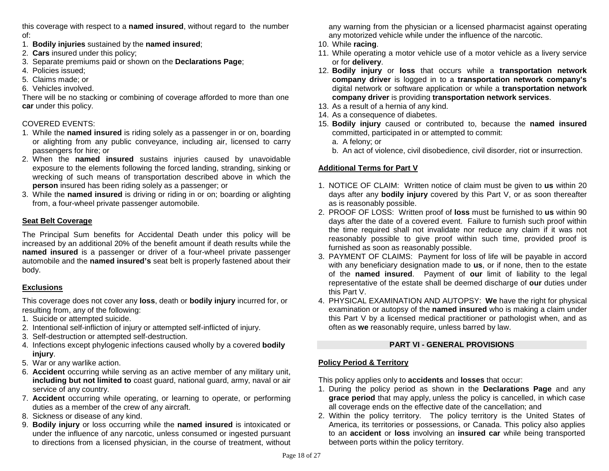this coverage with respect to a **named insured**, without regard to the number of:

- 1. **Bodily injuries** sustained by the **named insured**;
- 2. **Cars** insured under this policy;
- 3. Separate premiums paid or shown on the **Declarations Page**;
- 4. Policies issued;
- 5. Claims made; or
- 6. Vehicles involved.

There will be no stacking or combining of coverage afforded to more than one **car** under this policy.

# COVERED EVENTS:

- 1. While the **named insured** is riding solely as a passenger in or on, boarding or alighting from any public conveyance, including air, licensed to carry passengers for hire; or
- 2. When the **named insured** sustains injuries caused by unavoidable exposure to the elements following the forced landing, stranding, sinking or wrecking of such means of transportation described above in which the **person** insured has been riding solely as a passenger; or
- 3. While the **named insured** is driving or riding in or on; boarding or alighting from, a four-wheel private passenger automobile.

# **Seat Belt Coverage**

The Principal Sum benefits for Accidental Death under this policy will be increased by an additional 20% of the benefit amount if death results while the **named insured** is a passenger or driver of a four-wheel private passenger automobile and the **named insured's** seat belt is properly fastened about their body.

# **Exclusions**

This coverage does not cover any **loss**, death or **bodily injury** incurred for, or resulting from, any of the following:

- 1. Suicide or attempted suicide.
- 2. Intentional self-infliction of injury or attempted self-inflicted of injury.
- 3. Self-destruction or attempted self-destruction.
- 4. Infections except phylogenic infections caused wholly by a covered **bodily injury**.
- 5. War or any warlike action.
- 6. **Accident** occurring while serving as an active member of any military unit, **including but not limited to** coast guard, national guard, army, naval or air service of any country.
- 7. **Accident** occurring while operating, or learning to operate, or performing duties as a member of the crew of any aircraft.
- 8. Sickness or disease of any kind.
- 9. **Bodily injury** or loss occurring while the **named insured** is intoxicated or under the influence of any narcotic, unless consumed or ingested pursuant to directions from a licensed physician, in the course of treatment, without

any warning from the physician or a licensed pharmacist against operating any motorized vehicle while under the influence of the narcotic.

- 10. While **racing**.
- 11. While operating a motor vehicle use of a motor vehicle as a livery service or for **delivery**.
- 12. **Bodily injury** or **loss** that occurs while a **transportation network company driver** is logged in to a **transportation network company's** digital network or software application or while a **transportation network company driver** is providing **transportation network services**.
- 13. As a result of a hernia of any kind.
- 14. As a consequence of diabetes.
- 15. **Bodily injury** caused or contributed to, because the **named insured** committed, participated in or attempted to commit:
	- a. A felony; or
	- b. An act of violence, civil disobedience, civil disorder, riot or insurrection.

# **Additional Terms for Part V**

- 1. NOTICE OF CLAIM: Written notice of claim must be given to **us** within 20 days after any **bodily injury** covered by this Part V, or as soon thereafter as is reasonably possible.
- 2. PROOF OF LOSS: Written proof of **loss** must be furnished to **us** within 90 days after the date of a covered event. Failure to furnish such proof within the time required shall not invalidate nor reduce any claim if it was not reasonably possible to give proof within such time, provided proof is furnished as soon as reasonably possible.
- 3. PAYMENT OF CLAIMS: Payment for loss of life will be payable in accord with any beneficiary designation made to **us**, or if none, then to the estate of the **named insured**. Payment of **our** limit of liability to the legal representative of the estate shall be deemed discharge of **our** duties under this Part V.
- 4. PHYSICAL EXAMINATION AND AUTOPSY: **We** have the right for physical examination or autopsy of the **named insured** who is making a claim under this Part V by a licensed medical practitioner or pathologist when, and as often as **we** reasonably require, unless barred by law.

# **PART VI - GENERAL PROVISIONS**

# **Policy Period & Territory**

This policy applies only to **accidents** and **losses** that occur:

- 1. During the policy period as shown in the **Declarations Page** and any **grace period** that may apply, unless the policy is cancelled, in which case all coverage ends on the effective date of the cancellation; and
- 2. Within the policy territory. The policy territory is the United States of America, its territories or possessions, or Canada. This policy also applies to an **accident** or **loss** involving an **insured car** while being transported between ports within the policy territory.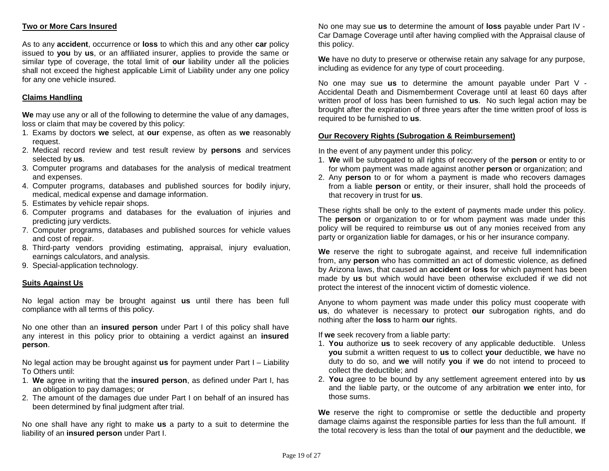# **Two or More Cars Insured**

As to any **accident**, occurrence or **loss** to which this and any other **car** policy issued to **you** by **us**, or an affiliated insurer, applies to provide the same or similar type of coverage, the total limit of **our** liability under all the policies shall not exceed the highest applicable Limit of Liability under any one policy for any one vehicle insured.

## **Claims Handling**

**We** may use any or all of the following to determine the value of any damages, loss or claim that may be covered by this policy:

- 1. Exams by doctors **we** select, at **our** expense, as often as **we** reasonably request.
- 2. Medical record review and test result review by **persons** and services selected by **us**.
- 3. Computer programs and databases for the analysis of medical treatment and expenses.
- 4. Computer programs, databases and published sources for bodily injury, medical, medical expense and damage information.
- 5. Estimates by vehicle repair shops.
- 6. Computer programs and databases for the evaluation of injuries and predicting jury verdicts.
- 7. Computer programs, databases and published sources for vehicle values and cost of repair.
- 8. Third-party vendors providing estimating, appraisal, injury evaluation, earnings calculators, and analysis.
- 9. Special-application technology.

#### **Suits Against Us**

No legal action may be brought against **us** until there has been full compliance with all terms of this policy.

No one other than an **insured person** under Part I of this policy shall have any interest in this policy prior to obtaining a verdict against an **insured person**.

No legal action may be brought against **us** for payment under Part I – Liability To Others until:

- 1. **We** agree in writing that the **insured person**, as defined under Part I, has an obligation to pay damages; or
- 2. The amount of the damages due under Part I on behalf of an insured has been determined by final judgment after trial.

No one shall have any right to make **us** a party to a suit to determine the liability of an **insured person** under Part I.

No one may sue **us** to determine the amount of **loss** payable under Part IV - Car Damage Coverage until after having complied with the Appraisal clause of this policy.

**We** have no duty to preserve or otherwise retain any salvage for any purpose, including as evidence for any type of court proceeding.

No one may sue **us** to determine the amount payable under Part V - Accidental Death and Dismemberment Coverage until at least 60 days after written proof of loss has been furnished to **us**. No such legal action may be brought after the expiration of three years after the time written proof of loss is required to be furnished to **us**.

#### **Our Recovery Rights (Subrogation & Reimbursement)**

In the event of any payment under this policy:

- 1. **We** will be subrogated to all rights of recovery of the **person** or entity to or for whom payment was made against another **person** or organization; and
- 2. Any **person** to or for whom a payment is made who recovers damages from a liable **person** or entity, or their insurer, shall hold the proceeds of that recovery in trust for **us**.

These rights shall be only to the extent of payments made under this policy. The **person** or organization to or for whom payment was made under this policy will be required to reimburse **us** out of any monies received from any party or organization liable for damages, or his or her insurance company.

**We** reserve the right to subrogate against, and receive full indemnification from, any **person** who has committed an act of domestic violence, as defined by Arizona laws, that caused an **accident** or **loss** for which payment has been made by **us** but which would have been otherwise excluded if we did not protect the interest of the innocent victim of domestic violence.

Anyone to whom payment was made under this policy must cooperate with **us**, do whatever is necessary to protect **our** subrogation rights, and do nothing after the **loss** to harm **our** rights.

If **we** seek recovery from a liable party:

- 1. **You** authorize **us** to seek recovery of any applicable deductible. Unless **you** submit a written request to **us** to collect **your** deductible, **we** have no duty to do so, and **we** will notify **you** if **we** do not intend to proceed to collect the deductible; and
- 2. **You** agree to be bound by any settlement agreement entered into by **us** and the liable party, or the outcome of any arbitration **we** enter into, for those sums.

**We** reserve the right to compromise or settle the deductible and property damage claims against the responsible parties for less than the full amount. If the total recovery is less than the total of **our** payment and the deductible, **we**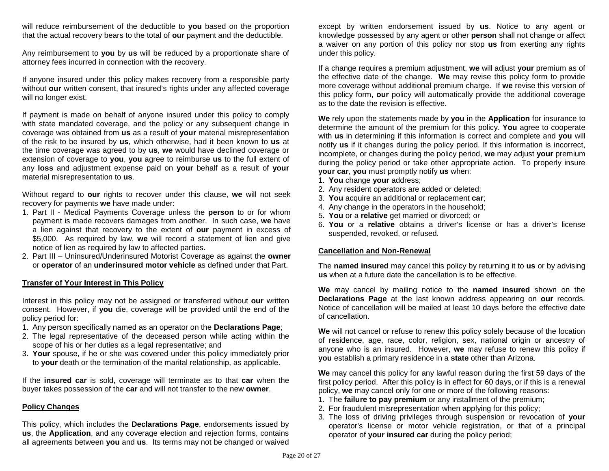will reduce reimbursement of the deductible to **you** based on the proportion that the actual recovery bears to the total of **our** payment and the deductible.

Any reimbursement to **you** by **us** will be reduced by a proportionate share of attorney fees incurred in connection with the recovery.

If anyone insured under this policy makes recovery from a responsible party without **our** written consent, that insured's rights under any affected coverage will no longer exist.

If payment is made on behalf of anyone insured under this policy to comply with state mandated coverage, and the policy or any subsequent change in coverage was obtained from **us** as a result of **your** material misrepresentation of the risk to be insured by **us**, which otherwise, had it been known to **us** at the time coverage was agreed to by **us**, **we** would have declined coverage or extension of coverage to **you**, **you** agree to reimburse **us** to the full extent of any **loss** and adjustment expense paid on **your** behalf as a result of **your** material misrepresentation to **us**.

Without regard to **our** rights to recover under this clause, **we** will not seek recovery for payments **we** have made under:

- 1. Part II Medical Payments Coverage unless the **person** to or for whom payment is made recovers damages from another. In such case, **we** have a lien against that recovery to the extent of **our** payment in excess of \$5,000. As required by law, **we** will record a statement of lien and give notice of lien as required by law to affected parties.
- 2. Part III Uninsured/Underinsured Motorist Coverage as against the **owner** or **operator** of an **underinsured motor vehicle** as defined under that Part.

#### **Transfer of Your Interest in This Policy**

Interest in this policy may not be assigned or transferred without **our** written consent. However, if **you** die, coverage will be provided until the end of the policy period for:

- 1. Any person specifically named as an operator on the **Declarations Page**;
- 2. The legal representative of the deceased person while acting within the scope of his or her duties as a legal representative; and
- 3. **Your** spouse, if he or she was covered under this policy immediately prior to **your** death or the termination of the marital relationship, as applicable.

If the **insured car** is sold, coverage will terminate as to that **car** when the buyer takes possession of the **car** and will not transfer to the new **owner**.

#### **Policy Changes**

This policy, which includes the **Declarations Page**, endorsements issued by **us**, the **Application**, and any coverage election and rejection forms, contains all agreements between **you** and **us**. Its terms may not be changed or waived

except by written endorsement issued by **us**. Notice to any agent or knowledge possessed by any agent or other **person** shall not change or affect a waiver on any portion of this policy nor stop **us** from exerting any rights under this policy.

If a change requires a premium adjustment, **we** will adjust **your** premium as of the effective date of the change. **We** may revise this policy form to provide more coverage without additional premium charge. If **we** revise this version of this policy form, **our** policy will automatically provide the additional coverage as to the date the revision is effective.

**We** rely upon the statements made by **you** in the **Application** for insurance to determine the amount of the premium for this policy. **You** agree to cooperate with **us** in determining if this information is correct and complete and **you** will notify **us** if it changes during the policy period. If this information is incorrect, incomplete, or changes during the policy period, **we** may adjust **your** premium during the policy period or take other appropriate action. To properly insure **your car**, **you** must promptly notify **us** when:

- 1. **You** change **your** address;
- 2. Any resident operators are added or deleted;
- 3. **You** acquire an additional or replacement **car**;
- 4. Any change in the operators in the household;
- 5. **You** or a **relative** get married or divorced; or
- 6. **You** or a **relative** obtains a driver's license or has a driver's license suspended, revoked, or refused.

#### **Cancellation and Non-Renewal**

The **named insured** may cancel this policy by returning it to **us** or by advising **us** when at a future date the cancellation is to be effective.

**We** may cancel by mailing notice to the **named insured** shown on the **Declarations Page** at the last known address appearing on **our** records. Notice of cancellation will be mailed at least 10 days before the effective date of cancellation.

**We** will not cancel or refuse to renew this policy solely because of the location of residence, age, race, color, religion, sex, national origin or ancestry of anyone who is an insured. However, **we** may refuse to renew this policy if **you** establish a primary residence in a **state** other than Arizona.

**We** may cancel this policy for any lawful reason during the first 59 days of the first policy period. After this policy is in effect for 60 days, or if this is a renewal policy, **we** may cancel only for one or more of the following reasons:

- 1. The **failure to pay premium** or any installment of the premium;
- 2. For fraudulent misrepresentation when applying for this policy;
- 3. The loss of driving privileges through suspension or revocation of **your** operator's license or motor vehicle registration, or that of a principal operator of **your insured car** during the policy period;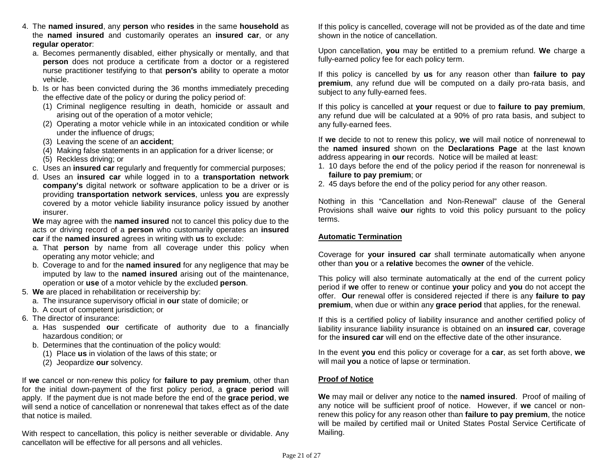- 4. The **named insured**, any **person** who **resides** in the same **household** as the **named insured** and customarily operates an **insured car**, or any **regular operator**:
	- a. Becomes permanently disabled, either physically or mentally, and that **person** does not produce a certificate from a doctor or a registered nurse practitioner testifying to that **person's** ability to operate a motor vehicle.
	- b. Is or has been convicted during the 36 months immediately preceding the effective date of the policy or during the policy period of:
		- (1) Criminal negligence resulting in death, homicide or assault and arising out of the operation of a motor vehicle;
		- (2) Operating a motor vehicle while in an intoxicated condition or while under the influence of drugs;
		- (3) Leaving the scene of an **accident**;
		- (4) Making false statements in an application for a driver license; or
		- (5) Reckless driving; or
	- c. Uses an **insured car** regularly and frequently for commercial purposes;
	- d. Uses an **insured car** while logged in to a **transportation network company's** digital network or software application to be a driver or is providing **transportation network services**, unless **you** are expressly covered by a motor vehicle liability insurance policy issued by another insurer.

**We** may agree with the **named insured** not to cancel this policy due to the acts or driving record of a **person** who customarily operates an **insured car** if the **named insured** agrees in writing with **us** to exclude:

- a. That **person** by name from all coverage under this policy when operating any motor vehicle; and
- b. Coverage to and for the **named insured** for any negligence that may be imputed by law to the **named insured** arising out of the maintenance, operation or **use** of a motor vehicle by the excluded **person**.
- 5. **We** are placed in rehabilitation or receivership by:
	- a. The insurance supervisory official in **our** state of domicile; or
	- b. A court of competent jurisdiction; or
- 6. The director of insurance:
	- a. Has suspended **our** certificate of authority due to a financially hazardous condition; or
	- b. Determines that the continuation of the policy would:
		- (1) Place **us** in violation of the laws of this state; or
		- (2) Jeopardize **our** solvency.

If **we** cancel or non-renew this policy for **failure to pay premium**, other than for the initial down-payment of the first policy period, a **grace period** will apply. If the payment due is not made before the end of the **grace period**, **we** will send a notice of cancellation or nonrenewal that takes effect as of the date that notice is mailed.

With respect to cancellation, this policy is neither severable or dividable. Any cancellaton will be effective for all persons and all vehicles.

If this policy is cancelled, coverage will not be provided as of the date and time shown in the notice of cancellation.

Upon cancellation, **you** may be entitled to a premium refund. **We** charge a fully-earned policy fee for each policy term.

If this policy is cancelled by **us** for any reason other than **failure to pay premium**, any refund due will be computed on a daily pro-rata basis, and subject to any fully-earned fees.

If this policy is cancelled at **your** request or due to **failure to pay premium**, any refund due will be calculated at a 90% of pro rata basis, and subject to any fully-earned fees.

If **we** decide to not to renew this policy, **we** will mail notice of nonrenewal to the **named insured** shown on the **Declarations Page** at the last known address appearing in **our** records. Notice will be mailed at least:

- 1. 10 days before the end of the policy period if the reason for nonrenewal is **failure to pay premium**; or
- 2. 45 days before the end of the policy period for any other reason.

Nothing in this "Cancellation and Non-Renewal" clause of the General Provisions shall waive **our** rights to void this policy pursuant to the policy terms.

# **Automatic Termination**

Coverage for **your insured car** shall terminate automatically when anyone other than **you** or a **relative** becomes the **owner** of the vehicle.

This policy will also terminate automatically at the end of the current policy period if **we** offer to renew or continue **your** policy and **you** do not accept the offer. **Our** renewal offer is considered rejected if there is any **failure to pay premium**, when due or within any **grace period** that applies, for the renewal.

If this is a certified policy of liability insurance and another certified policy of liability insurance liability insurance is obtained on an **insured car**, coverage for the **insured car** will end on the effective date of the other insurance.

In the event **you** end this policy or coverage for a **car**, as set forth above, **we** will mail **you** a notice of lapse or termination.

# **Proof of Notice**

**We** may mail or deliver any notice to the **named insured**. Proof of mailing of any notice will be sufficient proof of notice. However, if **we** cancel or nonrenew this policy for any reason other than **failure to pay premium**, the notice will be mailed by certified mail or United States Postal Service Certificate of Mailing.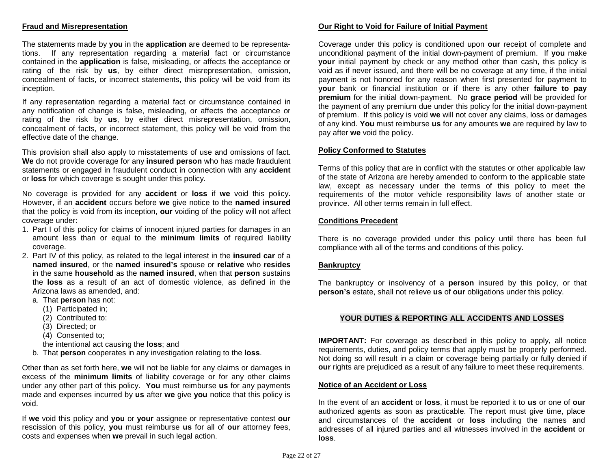# **Fraud and Misrepresentation**

The statements made by **you** in the **application** are deemed to be representations. If any representation regarding a material fact or circumstance contained in the **application** is false, misleading, or affects the acceptance or rating of the risk by **us**, by either direct misrepresentation, omission, concealment of facts, or incorrect statements, this policy will be void from its inception.

If any representation regarding a material fact or circumstance contained in any notification of change is false, misleading, or affects the acceptance or rating of the risk by **us**, by either direct misrepresentation, omission, concealment of facts, or incorrect statement, this policy will be void from the effective date of the change.

This provision shall also apply to misstatements of use and omissions of fact. **We** do not provide coverage for any **insured person** who has made fraudulent statements or engaged in fraudulent conduct in connection with any **accident** or **loss** for which coverage is sought under this policy.

No coverage is provided for any **accident** or **loss** if **we** void this policy. However, if an **accident** occurs before **we** give notice to the **named insured** that the policy is void from its inception, **our** voiding of the policy will not affect coverage under:

- 1. Part I of this policy for claims of innocent injured parties for damages in an amount less than or equal to the **minimum limits** of required liability coverage.
- 2. Part IV of this policy, as related to the legal interest in the **insured car** of a **named insured**, or the **named insured's** spouse or **relative** who **resides** in the same **household** as the **named insured**, when that **person** sustains the **loss** as a result of an act of domestic violence, as defined in the Arizona laws as amended, and:
	- a. That **person** has not:
		- (1) Participated in;
		- (2) Contributed to:
		- (3) Directed; or
		- (4) Consented to;
		- the intentional act causing the **loss**; and
	- b. That **person** cooperates in any investigation relating to the **loss**.

Other than as set forth here, **we** will not be liable for any claims or damages in excess of the **minimum limits** of liability coverage or for any other claims under any other part of this policy. **You** must reimburse **us** for any payments made and expenses incurred by **us** after **we** give **you** notice that this policy is void.

If **we** void this policy and **you** or **your** assignee or representative contest **our**  rescission of this policy, **you** must reimburse **us** for all of **our** attorney fees, costs and expenses when **we** prevail in such legal action.

# **Our Right to Void for Failure of Initial Payment**

Coverage under this policy is conditioned upon **our** receipt of complete and unconditional payment of the initial down-payment of premium. If **you** make **your** initial payment by check or any method other than cash, this policy is void as if never issued, and there will be no coverage at any time, if the initial payment is not honored for any reason when first presented for payment to **your** bank or financial institution or if there is any other **failure to pay premium** for the initial down-payment. No **grace period** will be provided for the payment of any premium due under this policy for the initial down-payment of premium. If this policy is void **we** will not cover any claims, loss or damages of any kind. **You** must reimburse **us** for any amounts **we** are required by law to pay after **we** void the policy.

#### **Policy Conformed to Statutes**

Terms of this policy that are in conflict with the statutes or other applicable law of the state of Arizona are hereby amended to conform to the applicable state law, except as necessary under the terms of this policy to meet the requirements of the motor vehicle responsibility laws of another state or province. All other terms remain in full effect.

#### **Conditions Precedent**

There is no coverage provided under this policy until there has been full compliance with all of the terms and conditions of this policy.

#### **Bankruptcy**

The bankruptcy or insolvency of a **person** insured by this policy, or that **person's** estate, shall not relieve **us** of **our** obligations under this policy.

#### **YOUR DUTIES & REPORTING ALL ACCIDENTS AND LOSSES**

**IMPORTANT:** For coverage as described in this policy to apply, all notice requirements, duties, and policy terms that apply must be properly performed. Not doing so will result in a claim or coverage being partially or fully denied if **our** rights are prejudiced as a result of any failure to meet these requirements.

#### **Notice of an Accident or Loss**

In the event of an **accident** or **loss**, it must be reported it to **us** or one of **our**  authorized agents as soon as practicable. The report must give time, place and circumstances of the **accident** or **loss** including the names and addresses of all injured parties and all witnesses involved in the **accident** or **loss**.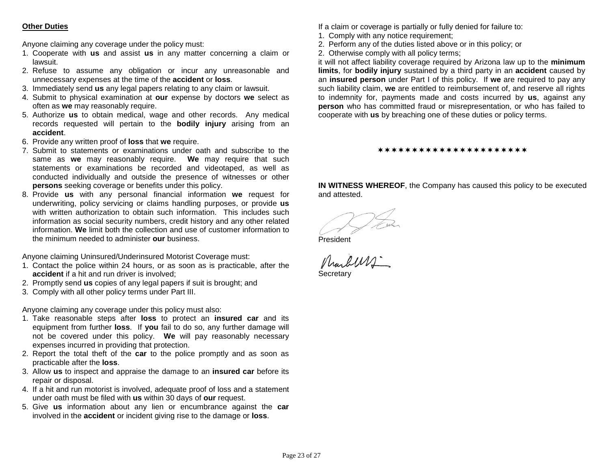# **Other Duties**

Anyone claiming any coverage under the policy must:

- 1. Cooperate with **us** and assist **us** in any matter concerning a claim or lawsuit.
- 2. Refuse to assume any obligation or incur any unreasonable and unnecessary expenses at the time of the **accident** or **loss**.
- 3. Immediately send **us** any legal papers relating to any claim or lawsuit.
- 4. Submit to physical examination at **our** expense by doctors **we** select as often as **we** may reasonably require.
- 5. Authorize **us** to obtain medical, wage and other records. Any medical records requested will pertain to the **bodily injury** arising from an **accident**.
- 6. Provide any written proof of **loss** that **we** require.
- 7. Submit to statements or examinations under oath and subscribe to the same as **we** may reasonably require. **We** may require that such statements or examinations be recorded and videotaped, as well as conducted individually and outside the presence of witnesses or other **persons** seeking coverage or benefits under this policy.
- 8. Provide **us** with any personal financial information **we** request for underwriting, policy servicing or claims handling purposes, or provide **us** with written authorization to obtain such information. This includes such information as social security numbers, credit history and any other related information. **We** limit both the collection and use of customer information to the minimum needed to administer **our** business.

Anyone claiming Uninsured/Underinsured Motorist Coverage must:

- 1. Contact the police within 24 hours, or as soon as is practicable, after the **accident** if a hit and run driver is involved;
- 2. Promptly send **us** copies of any legal papers if suit is brought; and
- 3. Comply with all other policy terms under Part III.

Anyone claiming any coverage under this policy must also:

- 1. Take reasonable steps after **loss** to protect an **insured car** and its equipment from further **loss**.If **you** fail to do so, any further damage will not be covered under this policy. **We** will pay reasonably necessary expenses incurred in providing that protection.
- 2. Report the total theft of the **car** to the police promptly and as soon as practicable after the **loss**.
- 3. Allow **us** to inspect and appraise the damage to an **insured car** before its repair or disposal.
- 4. If a hit and run motorist is involved, adequate proof of loss and a statement under oath must be filed with **us** within 30 days of **our** request.
- 5. Give **us** information about any lien or encumbrance against the **car** involved in the **accident** or incident giving rise to the damage or **loss**.

If a claim or coverage is partially or fully denied for failure to:

- 1. Comply with any notice requirement;
- 2. Perform any of the duties listed above or in this policy; or
- 2. Otherwise comply with all policy terms;

it will not affect liability coverage required by Arizona law up to the **minimum limits**, for **bodily injury** sustained by a third party in an **accident** caused by an **insured person** under Part I of this policy. If **we** are required to pay any such liability claim, **we** are entitled to reimbursement of, and reserve all rights to indemnity for, payments made and costs incurred by **us**, against any **person** who has committed fraud or misrepresentation, or who has failed to cooperate with **us** by breaching one of these duties or policy terms.

#### \*\*\*\*\*\*\*\*\*\*\*\*\*\*\*\*\*\*\*\*\*\*

**IN WITNESS WHEREOF**, the Company has caused this policy to be executed and attested.

President Secretary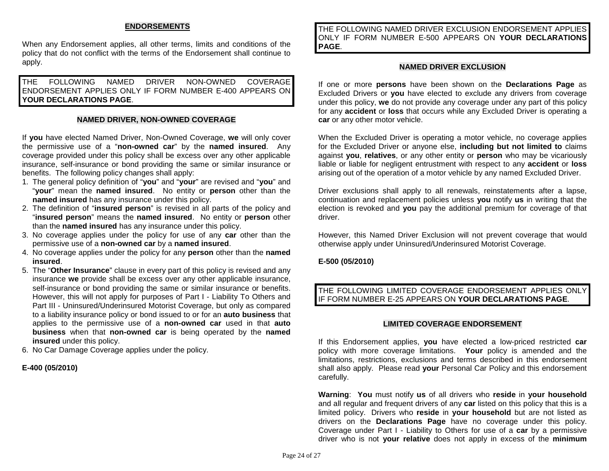# **ENDORSEMENTS**

When any Endorsement applies, all other terms, limits and conditions of the policy that do not conflict with the terms of the Endorsement shall continue to apply.

THE FOLLOWING NAMED DRIVER NON-OWNED COVERAGE ENDORSEMENT APPLIES ONLY IF FORM NUMBER E-400 APPEARS ON **YOUR DECLARATIONS PAGE**.

#### **NAMED DRIVER, NON-OWNED COVERAGE**

If **you** have elected Named Driver, Non-Owned Coverage, **we** will only cover the permissive use of a "**non-owned car**" by the **named insured**. Any coverage provided under this policy shall be excess over any other applicable insurance, self-insurance or bond providing the same or similar insurance or benefits. The following policy changes shall apply:

- 1. The general policy definition of "**you**" and "**your**" are revised and "**you**" and "**your**" mean the **named insured**. No entity or **person** other than the **named insured** has any insurance under this policy.
- 2. The definition of "**insured person**" is revised in all parts of the policy and "**insured person**" means the **named insured**. No entity or **person** other than the **named insured** has any insurance under this policy.
- 3. No coverage applies under the policy for use of any **car** other than the permissive use of a **non-owned car** by a **named insured**.
- 4. No coverage applies under the policy for any **person** other than the **named insured**.
- 5. The "**Other Insurance**" clause in every part of this policy is revised and any insurance **we** provide shall be excess over any other applicable insurance, self-insurance or bond providing the same or similar insurance or benefits. However, this will not apply for purposes of Part I - Liability To Others and Part III - Uninsured/Underinsured Motorist Coverage, but only as compared to a liability insurance policy or bond issued to or for an **auto business** that applies to the permissive use of a **non-owned car** used in that **auto business** when that **non-owned car** is being operated by the **named insured** under this policy.
- 6. No Car Damage Coverage applies under the policy.

#### **E-400 (05/2010)**

THE FOLLOWING NAMED DRIVER EXCLUSION ENDORSEMENT APPLIES ONLY IF FORM NUMBER E-500 APPEARS ON **YOUR DECLARATIONS PAGE**.

#### **NAMED DRIVER EXCLUSION**

If one or more **persons** have been shown on the **Declarations Page** as Excluded Drivers or **you** have elected to exclude any drivers from coverage under this policy, **we** do not provide any coverage under any part of this policy for any **accident** or **loss** that occurs while any Excluded Driver is operating a **car** or any other motor vehicle.

When the Excluded Driver is operating a motor vehicle, no coverage applies for the Excluded Driver or anyone else, **including but not limited to** claims against **you**, **relatives**, or any other entity or **person** who may be vicariously liable or liable for negligent entrustment with respect to any **accident** or **loss**  arising out of the operation of a motor vehicle by any named Excluded Driver.

Driver exclusions shall apply to all renewals, reinstatements after a lapse, continuation and replacement policies unless **you** notify **us** in writing that the election is revoked and **you** pay the additional premium for coverage of that driver.

However, this Named Driver Exclusion will not prevent coverage that would otherwise apply under Uninsured/Underinsured Motorist Coverage.

#### **E-500 (05/2010)**

# THE FOLLOWING LIMITED COVERAGE ENDORSEMENT APPLIES ONLY IF FORM NUMBER E-25 APPEARS ON **YOUR DECLARATIONS PAGE**.

#### **LIMITED COVERAGE ENDORSEMENT**

If this Endorsement applies, **you** have elected a low-priced restricted **car** policy with more coverage limitations. **Your** policy is amended and the limitations, restrictions, exclusions and terms described in this endorsement shall also apply.Please read **your** Personal Car Policy and this endorsement carefully.

**Warning**: **You** must notify **us** of all drivers who **reside** in **your household** and all regular and frequent drivers of any **car** listed on this policy that this is a limited policy. Drivers who **reside** in **your household** but are not listed as drivers on the **Declarations Page** have no coverage under this policy. Coverage under Part I - Liability to Others for use of a **car** by a permissive driver who is not **your relative** does not apply in excess of the **minimum**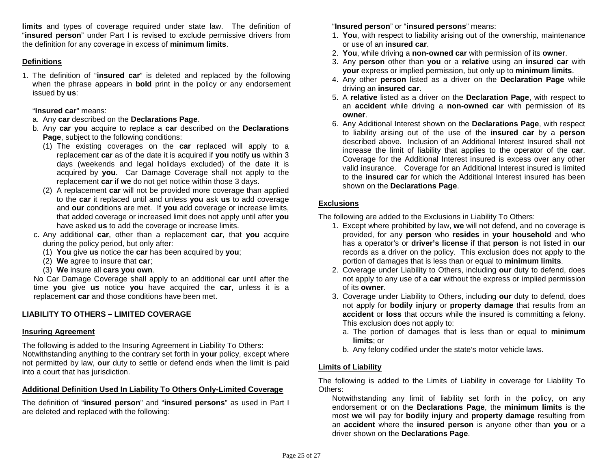**limits** and types of coverage required under state law. The definition of "**insured person**" under Part I is revised to exclude permissive drivers from the definition for any coverage in excess of **minimum limits**.

## **Definitions**

1. The definition of "**insured car**" is deleted and replaced by the following when the phrase appears in **bold** print in the policy or any endorsement issued by **us**:

"**Insured car**" means:

- a. Any **car** described on the **Declarations Page**.
- b. Any **car you** acquire to replace a **car** described on the **Declarations Page**, subject to the following conditions:
	- (1) The existing coverages on the **car** replaced will apply to a replacement **car** as of the date it is acquired if **you** notify **us** within 3 days (weekends and legal holidays excluded) of the date it is acquired by **you**. Car Damage Coverage shall not apply to the replacement **car** if **we** do not get notice within those 3 days.
	- (2) A replacement **car** will not be provided more coverage than applied to the **car** it replaced until and unless **you** ask **us** to add coverage and **our** conditions are met. If **you** add coverage or increase limits, that added coverage or increased limit does not apply until after **you**  have asked **us** to add the coverage or increase limits.
- c. Any additional **car**, other than a replacement **car**, that **you** acquire during the policy period, but only after:
	- (1) **You** give **us** notice the **car** has been acquired by **you**;
	- (2) **We** agree to insure that **car**;
	- (3) **We** insure all **cars you own**.

No Car Damage Coverage shall apply to an additional **car** until after the time **you** give **us** notice **you** have acquired the **car**, unless it is a replacement **car** and those conditions have been met.

# **LIABILITY TO OTHERS – LIMITED COVERAGE**

# **Insuring Agreement**

The following is added to the Insuring Agreement in Liability To Others: Notwithstanding anything to the contrary set forth in **your** policy, except where not permitted by law, **our** duty to settle or defend ends when the limit is paid into a court that has jurisdiction.

# **Additional Definition Used In Liability To Others Only-Limited Coverage**

The definition of "**insured person**" and "**insured persons**" as used in Part I are deleted and replaced with the following:

"**Insured person**" or "**insured persons**" means:

- 1. **You**, with respect to liability arising out of the ownership, maintenance or use of an **insured car**.
- 2. **You**, while driving a **non-owned car** with permission of its **owner**.
- 3. Any **person** other than **you** or a **relative** using an **insured car** with **your** express or implied permission, but only up to **minimum limits**.
- 4. Any other **person** listed as a driver on the **Declaration Page** while driving an **insured car**.
- 5. A **relative** listed as a driver on the **Declaration Page**, with respect to an **accident** while driving a **non-owned car** with permission of its **owner**.
- 6. Any Additional Interest shown on the **Declarations Page**, with respect to liability arising out of the use of the **insured car** by a **person**  described above. Inclusion of an Additional Interest Insured shall not increase the limit of liability that applies to the operator of the **car**. Coverage for the Additional Interest insured is excess over any other valid insurance. Coverage for an Additional Interest insured is limited to the **insured car** for which the Additional Interest insured has been shown on the **Declarations Page**.

# **Exclusions**

The following are added to the Exclusions in Liability To Others:

- 1. Except where prohibited by law, **we** will not defend, and no coverage is provided, for any **person** who **resides** in **your household** and who has a operator's or **driver's license** if that **person** is not listed in **our**  records as a driver on the policy. This exclusion does not apply to the portion of damages that is less than or equal to **minimum limits**.
- 2. Coverage under Liability to Others, including **our** duty to defend, does not apply to any use of a **car** without the express or implied permission of its **owner**.
- 3. Coverage under Liability to Others, including **our** duty to defend, does not apply for **bodily injury** or **property damage** that results from an **accident** or **loss** that occurs while the insured is committing a felony. This exclusion does not apply to:
	- a. The portion of damages that is less than or equal to **minimum limits**; or
	- b. Any felony codified under the state's motor vehicle laws.

# **Limits of Liability**

The following is added to the Limits of Liability in coverage for Liability To Others:

Notwithstanding any limit of liability set forth in the policy, on any endorsement or on the **Declarations Page**, the **minimum limits** is the most **we** will pay for **bodily injury** and **property damage** resulting from an **accident** where the **insured person** is anyone other than **you** or a driver shown on the **Declarations Page**.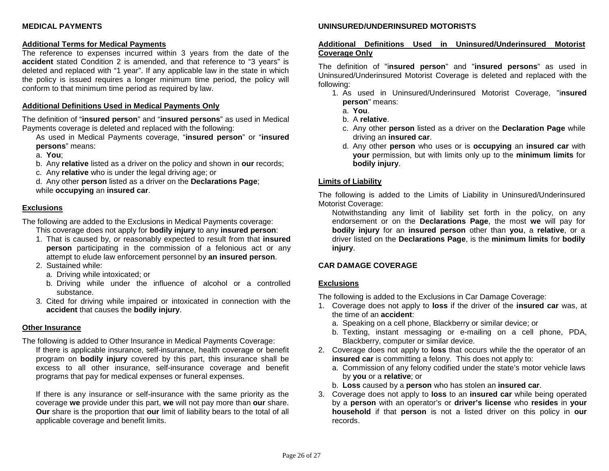# **MEDICAL PAYMENTS**

#### **Additional Terms for Medical Payments**

The reference to expenses incurred within 3 years from the date of the **accident** stated Condition 2 is amended, and that reference to "3 years" is deleted and replaced with "1 year". If any applicable law in the state in which the policy is issued requires a longer minimum time period, the policy will conform to that minimum time period as required by law.

#### **Additional Definitions Used in Medical Payments Only**

The definition of "**insured person**" and "**insured persons**" as used in Medical Payments coverage is deleted and replaced with the following:

As used in Medical Payments coverage, "**insured person**" or "**insured persons**" means:

a. **You**;

- b. Any **relative** listed as a driver on the policy and shown in **our** records;
- c. Any **relative** who is under the legal driving age; or

d. Any other **person** listed as a driver on the **Declarations Page**; while **occupying** an **insured car**.

#### **Exclusions**

The following are added to the Exclusions in Medical Payments coverage:

This coverage does not apply for **bodily injury** to any **insured person**:

- 1. That is caused by, or reasonably expected to result from that **insured person** participating in the commission of a felonious act or any attempt to elude law enforcement personnel by **an insured person**.
- 2. Sustained while:
	- a. Driving while intoxicated; or
	- b. Driving while under the influence of alcohol or a controlled substance.
- 3. Cited for driving while impaired or intoxicated in connection with the **accident** that causes the **bodily injury**.

#### **Other Insurance**

The following is added to Other Insurance in Medical Payments Coverage:

If there is applicable insurance, self-insurance, health coverage or benefit program on **bodily injury** covered by this part, this insurance shall be excess to all other insurance, self-insurance coverage and benefit programs that pay for medical expenses or funeral expenses.

If there is any insurance or self-insurance with the same priority as the coverage **we** provide under this part, **we** will not pay more than **our** share. **Our** share is the proportion that **our** limit of liability bears to the total of all applicable coverage and benefit limits.

### **UNINSURED/UNDERINSURED MOTORISTS**

## **Additional Definitions Used in Uninsured/Underinsured Motorist Coverage Only**

The definition of "i**nsured person**" and "**insured persons**" as used in Uninsured/Underinsured Motorist Coverage is deleted and replaced with the following:

- 1. As used in Uninsured/Underinsured Motorist Coverage, "i**nsured person**" means:
	- a. **You**.
	- b. A **relative**.
	- c. Any other **person** listed as a driver on the **Declaration Page** while driving an **insured car**.
	- d. Any other **person** who uses or is **occupying** an **insured car** with **your** permission, but with limits only up to the **minimum limits** for **bodily injury**.

#### **Limits of Liability**

The following is added to the Limits of Liability in Uninsured/Underinsured Motorist Coverage:

Notwithstanding any limit of liability set forth in the policy, on any endorsement or on the **Declarations Page**, the most **we** will pay for **bodily injury** for an **insured person** other than **you**, a **relative**, or a driver listed on the **Declarations Page**, is the **minimum limits** for **bodily injury**.

# **CAR DAMAGE COVERAGE**

#### **Exclusions**

The following is added to the Exclusions in Car Damage Coverage:

- 1. Coverage does not apply to **loss** if the driver of the **insured car** was, at the time of an **accident**:
	- a. Speaking on a cell phone, Blackberry or similar device; or
	- b. Texting, instant messaging or e-mailing on a cell phone, PDA, Blackberry, computer or similar device.
- 2. Coverage does not apply to **loss** that occurs while the the operator of an **insured car** is committing a felony. This does not apply to:
	- a. Commission of any felony codified under the state's motor vehicle laws by **you** or a **relative**; or
	- b. **Loss** caused by a **person** who has stolen an **insured car**.
- 3. Coverage does not apply to **loss** to an **insured car** while being operated by a **person** with an operator's or **driver's license** who **resides** in **your household** if that **person** is not a listed driver on this policy in **our**  records.